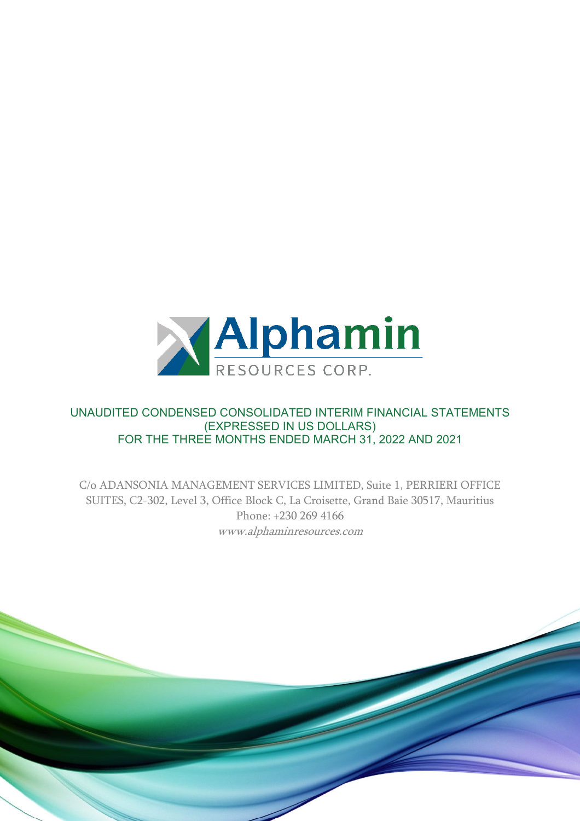

## UNAUDITED CONDENSED CONSOLIDATED INTERIM FINANCIAL STATEMENTS (EXPRESSED IN US DOLLARS) FOR THE THREE MONTHS ENDED MARCH 31, 2022 AND 2021

C/o ADANSONIA MANAGEMENT SERVICES LIMITED, Suite 1, PERRIERI OFFICE SUITES, C2-302, Level 3, Office Block C, La Croisette, Grand Baie 30517, Mauritius Phone: +230 269 4166 www.alphaminresources.com

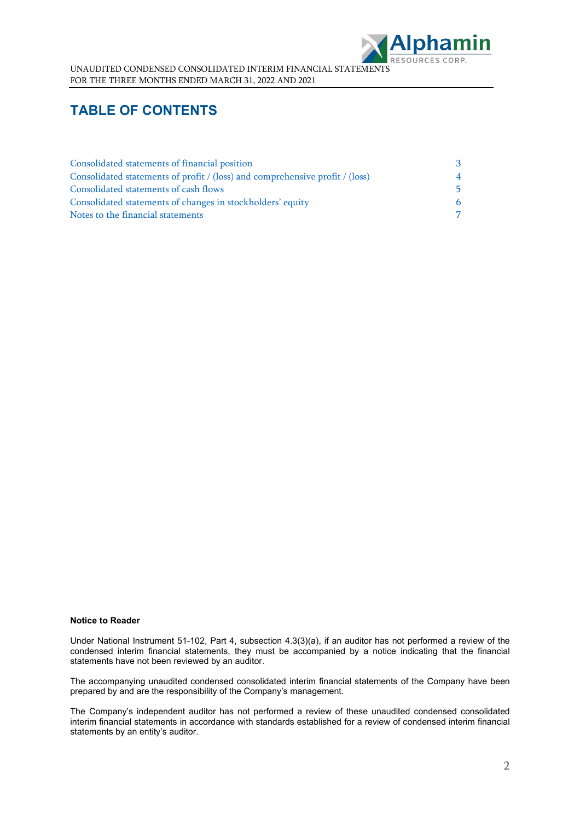

# **TABLE OF CONTENTS**

| Consolidated statements of financial position                                | -3             |
|------------------------------------------------------------------------------|----------------|
| Consolidated statements of profit / (loss) and comprehensive profit / (loss) | $\overline{4}$ |
| Consolidated statements of cash flows                                        | .5             |
| Consolidated statements of changes in stockholders' equity                   |                |
| Notes to the financial statements                                            | $\overline{7}$ |

#### **Notice to Reader**

Under National Instrument 51-102, Part 4, subsection 4.3(3)(a), if an auditor has not performed a review of the condensed interim financial statements, they must be accompanied by a notice indicating that the financial statements have not been reviewed by an auditor.

The accompanying unaudited condensed consolidated interim financial statements of the Company have been prepared by and are the responsibility of the Company's management.

The Company's independent auditor has not performed a review of these unaudited condensed consolidated interim financial statements in accordance with standards established for a review of condensed interim financial statements by an entity's auditor.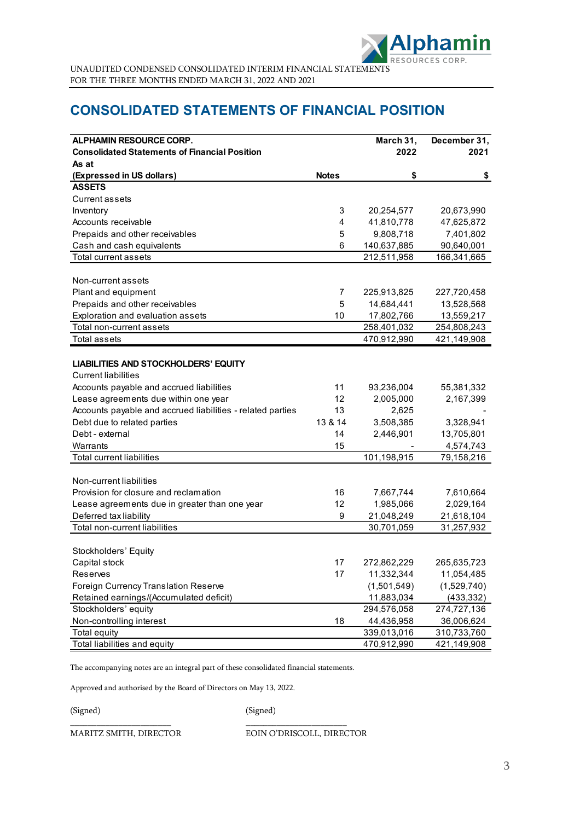

# **CONSOLIDATED STATEMENTS OF FINANCIAL POSITION**

| <b>ALPHAMIN RESOURCE CORP.</b>                             |                | March 31,   | December 31, |
|------------------------------------------------------------|----------------|-------------|--------------|
| <b>Consolidated Statements of Financial Position</b>       |                | 2022        | 2021         |
| As at                                                      |                |             |              |
| (Expressed in US dollars)                                  | <b>Notes</b>   | \$          | \$           |
| <b>ASSETS</b>                                              |                |             |              |
| Current assets                                             |                |             |              |
| Inventory                                                  | 3              | 20,254,577  | 20,673,990   |
| Accounts receivable                                        | $\overline{4}$ | 41,810,778  | 47,625,872   |
| Prepaids and other receivables                             | 5              | 9,808,718   | 7,401,802    |
| Cash and cash equivalents                                  | 6              | 140,637,885 | 90,640,001   |
| Total current assets                                       |                | 212,511,958 | 166,341,665  |
|                                                            |                |             |              |
| Non-current assets                                         |                |             |              |
| Plant and equipment                                        | 7              | 225,913,825 | 227,720,458  |
| Prepaids and other receivables                             | 5              | 14,684,441  | 13,528,568   |
| Exploration and evaluation assets                          | 10             | 17,802,766  | 13,559,217   |
| Total non-current assets                                   |                | 258,401,032 | 254,808,243  |
| Total assets                                               |                | 470,912,990 | 421,149,908  |
|                                                            |                |             |              |
| <b>LIABILITIES AND STOCKHOLDERS' EQUITY</b>                |                |             |              |
| <b>Current liabilities</b>                                 |                |             |              |
| Accounts payable and accrued liabilities                   | 11             | 93,236,004  | 55,381,332   |
| Lease agreements due within one year                       | 12             | 2,005,000   | 2,167,399    |
| Accounts payable and accrued liabilities - related parties | 13             | 2,625       |              |
| Debt due to related parties                                | 13 & 14        | 3,508,385   | 3,328,941    |
| Debt - external                                            | 14             | 2,446,901   | 13,705,801   |
| Warrants                                                   | 15             |             | 4,574,743    |
| <b>Total current liabilities</b>                           |                | 101,198,915 | 79,158,216   |
|                                                            |                |             |              |
| Non-current liabilities                                    |                |             |              |
| Provision for closure and reclamation                      | 16             | 7,667,744   | 7,610,664    |
| Lease agreements due in greater than one year              | 12             | 1,985,066   | 2,029,164    |
| Deferred tax liability                                     | 9              | 21,048,249  | 21,618,104   |
| Total non-current liabilities                              |                | 30,701,059  | 31,257,932   |
|                                                            |                |             |              |
| Stockholders' Equity                                       |                |             |              |
| Capital stock                                              | 17             | 272,862,229 | 265,635,723  |
| Reserves                                                   | 17             | 11,332,344  | 11,054,485   |
| Foreign Currency Translation Reserve                       |                | (1,501,549) | (1,529,740)  |
| Retained earnings/(Accumulated deficit)                    |                | 11,883,034  | (433, 332)   |
| Stockholders' equity                                       |                | 294,576,058 | 274,727,136  |
| Non-controlling interest                                   | 18             | 44,436,958  | 36,006,624   |
| <b>Total equity</b>                                        |                | 339,013,016 | 310,733,760  |
| Total liabilities and equity                               |                | 470,912,990 | 421,149,908  |

The accompanying notes are an integral part of these consolidated financial statements.

\_\_\_\_\_\_\_\_\_\_\_\_\_\_\_\_\_\_\_\_\_\_\_ \_\_\_\_\_\_\_\_\_\_\_\_\_\_\_\_\_\_\_\_\_\_\_

Approved and authorised by the Board of Directors on May 13, 2022.

(Signed) (Signed)

MARITZ SMITH, DIRECTOR EOIN O'DRISCOLL, DIRECTOR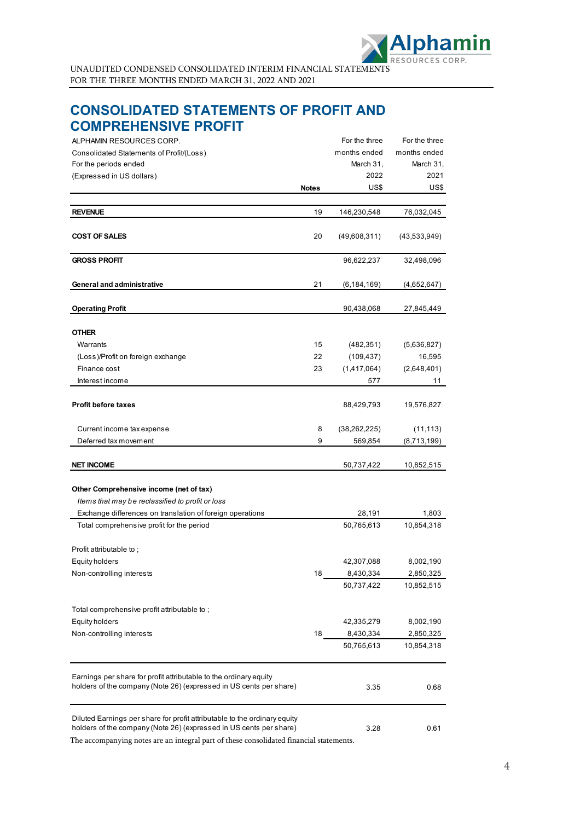

# <span id="page-3-0"></span>**CONSOLIDATED STATEMENTS OF PROFIT AND COMPREHENSIVE PROFIT**

| ALPHAMIN RESOURCES CORP.                                                                                                                        |              | For the three  | For the three |
|-------------------------------------------------------------------------------------------------------------------------------------------------|--------------|----------------|---------------|
| Consolidated Statements of Profit/(Loss)                                                                                                        |              | months ended   | months ended  |
| For the periods ended                                                                                                                           |              | March 31,      | March 31,     |
| (Expressed in US dollars)                                                                                                                       |              | 2022           | 2021          |
|                                                                                                                                                 | <b>Notes</b> | US\$           | US\$          |
|                                                                                                                                                 |              |                |               |
| <b>REVENUE</b>                                                                                                                                  | 19           | 146,230,548    | 76,032,045    |
| <b>COST OF SALES</b>                                                                                                                            | 20           | (49,608,311)   | (43,533,949)  |
| <b>GROSS PROFIT</b>                                                                                                                             |              | 96,622,237     | 32,498,096    |
| General and administrative                                                                                                                      | 21           | (6,184,169)    | (4,652,647)   |
| <b>Operating Profit</b>                                                                                                                         |              | 90,438,068     | 27,845,449    |
| <b>OTHER</b>                                                                                                                                    |              |                |               |
| Warrants                                                                                                                                        | 15           | (482, 351)     | (5,636,827)   |
| (Loss)/Profit on foreign exchange                                                                                                               | 22           | (109, 437)     | 16,595        |
| Finance cost                                                                                                                                    | 23           | (1,417,064)    | (2,648,401)   |
| Interest income                                                                                                                                 |              | 577            | 11            |
| <b>Profit before taxes</b>                                                                                                                      |              | 88,429,793     | 19,576,827    |
| Current income tax expense                                                                                                                      | 8            | (38, 262, 225) | (11, 113)     |
| Deferred tax movement                                                                                                                           | 9            | 569,854        | (8,713,199)   |
| <b>NET INCOME</b>                                                                                                                               |              | 50,737,422     | 10,852,515    |
| Other Comprehensive income (net of tax)                                                                                                         |              |                |               |
| Items that may be reclassified to profit or loss                                                                                                |              |                |               |
| Exchange differences on translation of foreign operations                                                                                       |              | 28,191         | 1,803         |
| Total comprehensive profit for the period                                                                                                       |              | 50,765,613     | 10,854,318    |
| Profit attributable to;                                                                                                                         |              |                |               |
| <b>Equity holders</b>                                                                                                                           |              | 42,307,088     | 8,002,190     |
| Non-controlling interests                                                                                                                       | 18           | 8,430,334      | 2,850,325     |
|                                                                                                                                                 |              | 50,737,422     | 10,852,515    |
| Total comprehensive profit attributable to;                                                                                                     |              |                |               |
| <b>Equity holders</b>                                                                                                                           |              | 42,335,279     | 8,002,190     |
| Non-controlling interests                                                                                                                       | 18           | 8,430,334      | 2,850,325     |
|                                                                                                                                                 |              | 50,765,613     | 10,854,318    |
| Earnings per share for profit attributable to the ordinary equity<br>holders of the company (Note 26) (expressed in US cents per share)         |              | 3.35           | 0.68          |
| Diluted Earnings per share for profit attributable to the ordinary equity<br>holders of the company (Note 26) (expressed in US cents per share) |              | 3.28           | 0.61          |

<span id="page-3-1"></span>The accompanying notes are an integral part of these consolidated financial statements.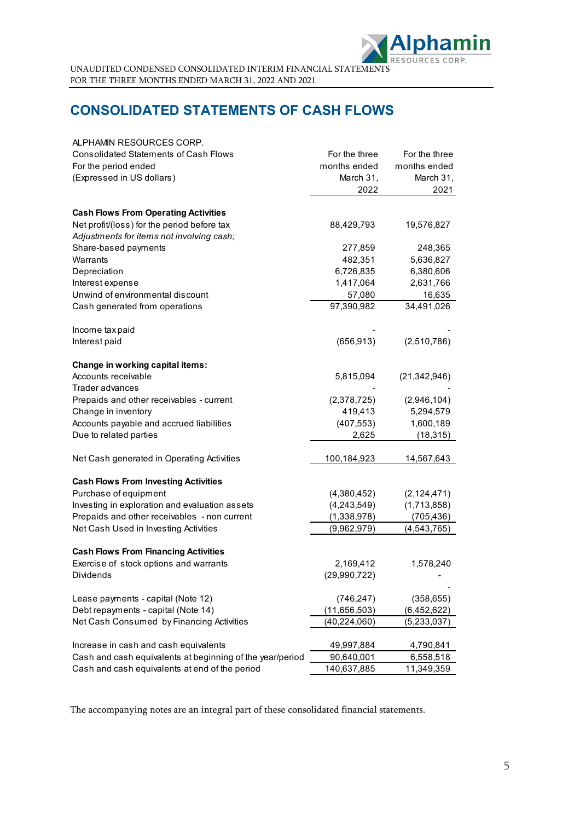

# **CONSOLIDATED STATEMENTS OF CASH FLOWS**

| ALPHAMIN RESOURCES CORP.                                  |                |                |
|-----------------------------------------------------------|----------------|----------------|
| <b>Consolidated Statements of Cash Flows</b>              | For the three  | For the three  |
| For the period ended                                      | months ended   | months ended   |
| (Expressed in US dollars)                                 | March 31,      | March 31,      |
|                                                           | 2022           | 2021           |
| <b>Cash Flows From Operating Activities</b>               |                |                |
| Net profit/(loss) for the period before tax               | 88,429,793     | 19,576,827     |
| Adjustments for items not involving cash;                 |                |                |
| Share-based payments                                      | 277,859        | 248,365        |
| Warrants                                                  | 482,351        | 5,636,827      |
| Depreciation                                              | 6,726,835      | 6,380,606      |
| Interest expense                                          | 1,417,064      | 2,631,766      |
| Unwind of environmental discount                          | 57,080         | 16,635         |
| Cash generated from operations                            | 97,390,982     | 34,491,026     |
|                                                           |                |                |
| Income tax paid                                           |                |                |
| Interest paid                                             | (656, 913)     | (2,510,786)    |
| Change in working capital items:                          |                |                |
| Accounts receivable                                       | 5,815,094      | (21, 342, 946) |
| Trader advances                                           |                |                |
| Prepaids and other receivables - current                  | (2,378,725)    | (2,946,104)    |
| Change in inventory                                       | 419,413        | 5,294,579      |
| Accounts payable and accrued liabilities                  | (407, 553)     | 1,600,189      |
| Due to related parties                                    | 2,625          | (18, 315)      |
| Net Cash generated in Operating Activities                | 100,184,923    | 14,567,643     |
|                                                           |                |                |
| <b>Cash Flows From Investing Activities</b>               |                |                |
| Purchase of equipment                                     | (4,380,452)    | (2, 124, 471)  |
| Investing in exploration and evaluation assets            | (4, 243, 549)  | (1,713,858)    |
| Prepaids and other receivables - non current              | (1,338,978)    | (705, 436)     |
| Net Cash Used in Investing Activities                     | (9,962,979)    | (4, 543, 765)  |
| <b>Cash Flows From Financing Activities</b>               |                |                |
| Exercise of stock options and warrants                    | 2,169,412      | 1,578,240      |
| Dividends                                                 | (29,990,722)   |                |
| Lease payments - capital (Note 12)                        | (746, 247)     | (358, 655)     |
| Debt repayments - capital (Note 14)                       | (11, 656, 503) | (6,452,622)    |
| Net Cash Consumed by Financing Activities                 | (40, 224, 060) | (5,233,037)    |
|                                                           |                |                |
| Increase in cash and cash equivalents                     | 49,997,884     | 4,790,841      |
| Cash and cash equivalents at beginning of the year/period | 90,640,001     | 6,558,518      |
| Cash and cash equivalents at end of the period            | 140,637,885    | 11,349,359     |

The accompanying notes are an integral part of these consolidated financial statements.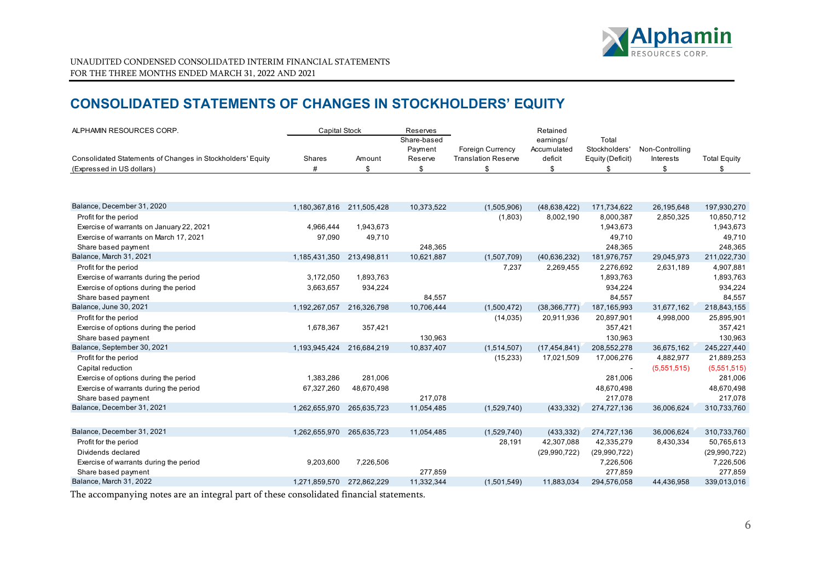

# **CONSOLIDATED STATEMENTS OF CHANGES IN STOCKHOLDERS' EQUITY**

| ALPHAMIN RESOURCES CORP.                                   | <b>Capital Stock</b>      |             | Reserves               |                            | Retained                 |                        |                 |                     |
|------------------------------------------------------------|---------------------------|-------------|------------------------|----------------------------|--------------------------|------------------------|-----------------|---------------------|
|                                                            |                           |             | Share-based<br>Payment | <b>Foreign Currency</b>    | earnings/<br>Accumulated | Total<br>Stockholders' | Non-Controlling |                     |
| Consolidated Statements of Changes in Stockholders' Equity | Shares                    | Amount      | Reserve                | <b>Translation Reserve</b> | deficit                  | Equity (Deficit)       | Interests       | <b>Total Equity</b> |
| (Expressed in US dollars)                                  | #                         | \$          | \$                     | \$                         | \$                       | \$                     | \$              | \$                  |
|                                                            |                           |             |                        |                            |                          |                        |                 |                     |
| Balance, December 31, 2020                                 | 1,180,367,816 211,505,428 |             | 10,373,522             | (1,505,906)                | (48, 638, 422)           | 171,734,622            | 26,195,648      | 197,930,270         |
| Profit for the period                                      |                           |             |                        | (1,803)                    | 8,002,190                | 8,000,387              | 2,850,325       | 10,850,712          |
| Exercise of warrants on January 22, 2021                   | 4,966,444                 | 1,943,673   |                        |                            |                          | 1,943,673              |                 | 1,943,673           |
| Exercise of warrants on March 17, 2021                     | 97,090                    | 49,710      |                        |                            |                          | 49,710                 |                 | 49,710              |
| Share based payment                                        |                           |             | 248,365                |                            |                          | 248,365                |                 | 248,365             |
| Balance, March 31, 2021                                    | 1,185,431,350             | 213,498,811 | 10,621,887             | (1,507,709)                | (40.636.232)             | 181,976,757            | 29,045,973      | 211,022,730         |
| Profit for the period                                      |                           |             |                        | 7,237                      | 2,269,455                | 2,276,692              | 2,631,189       | 4,907,881           |
| Exercise of warrants during the period                     | 3,172,050                 | 1,893,763   |                        |                            |                          | 1,893,763              |                 | 1,893,763           |
| Exercise of options during the period                      | 3,663,657                 | 934,224     |                        |                            |                          | 934,224                |                 | 934,224             |
| Share based payment                                        |                           |             | 84,557                 |                            |                          | 84,557                 |                 | 84,557              |
| Balance, June 30, 2021                                     | 1,192,267,057             | 216,326,798 | 10,706,444             | (1,500,472)                | (38, 366, 777)           | 187, 165, 993          | 31,677,162      | 218,843,155         |
| Profit for the period                                      |                           |             |                        | (14, 035)                  | 20,911,936               | 20,897,901             | 4,998,000       | 25,895,901          |
| Exercise of options during the period                      | 1,678,367                 | 357,421     |                        |                            |                          | 357,421                |                 | 357,421             |
| Share based payment                                        |                           |             | 130,963                |                            |                          | 130,963                |                 | 130,963             |
| Balance, September 30, 2021                                | 1,193,945,424             | 216,684,219 | 10,837,407             | (1,514,507)                | (17, 454, 841)           | 208,552,278            | 36,675,162      | 245,227,440         |
| Profit for the period                                      |                           |             |                        | (15, 233)                  | 17,021,509               | 17,006,276             | 4,882,977       | 21,889,253          |
| Capital reduction                                          |                           |             |                        |                            |                          |                        | (5,551,515)     | (5,551,515)         |
| Exercise of options during the period                      | 1,383,286                 | 281,006     |                        |                            |                          | 281,006                |                 | 281,006             |
| Exercise of warrants during the period                     | 67,327,260                | 48,670,498  |                        |                            |                          | 48,670,498             |                 | 48,670,498          |
| Share based payment                                        |                           |             | 217,078                |                            |                          | 217,078                |                 | 217,078             |
| Balance, December 31, 2021                                 | 1,262,655,970             | 265.635.723 | 11,054,485             | (1,529,740)                | (433, 332)               | 274,727,136            | 36,006,624      | 310,733,760         |
|                                                            |                           |             |                        |                            |                          |                        |                 |                     |
| Balance, December 31, 2021                                 | 1,262,655,970             | 265,635,723 | 11,054,485             | (1,529,740)                | (433, 332)               | 274,727,136            | 36,006,624      | 310,733,760         |
| Profit for the period                                      |                           |             |                        | 28,191                     | 42,307,088               | 42,335,279             | 8,430,334       | 50,765,613          |
| Dividends declared                                         |                           |             |                        |                            | (29,990,722)             | (29,990,722)           |                 | (29,990,722)        |
| Exercise of warrants during the period                     | 9,203,600                 | 7,226,506   |                        |                            |                          | 7,226,506              |                 | 7,226,506           |
| Share based payment                                        |                           |             | 277,859                |                            |                          | 277,859                |                 | 277,859             |
| Balance, March 31, 2022                                    | 1.271.859.570             | 272.862.229 | 11,332,344             | (1,501,549)                | 11.883.034               | 294,576,058            | 44.436.958      | 339,013,016         |

<span id="page-5-0"></span>The accompanying notes are an integral part of these consolidated financial statements.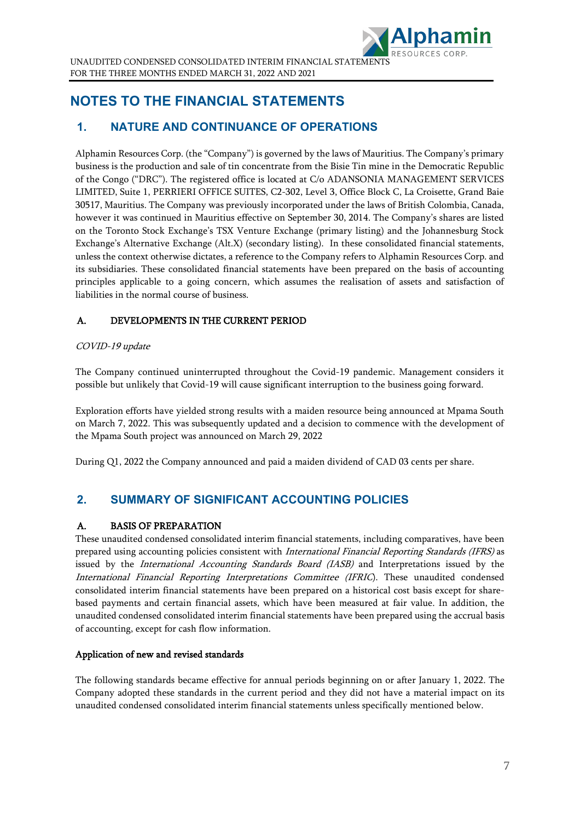

# <span id="page-6-0"></span>**NOTES TO THE FINANCIAL STATEMENTS**

## **1. NATURE AND CONTINUANCE OF OPERATIONS**

Alphamin Resources Corp. (the "Company") is governed by the laws of Mauritius. The Company's primary business is the production and sale of tin concentrate from the Bisie Tin mine in the Democratic Republic of the Congo ("DRC"). The registered office is located at C/o ADANSONIA MANAGEMENT SERVICES LIMITED, Suite 1, PERRIERI OFFICE SUITES, C2-302, Level 3, Office Block C, La Croisette, Grand Baie 30517, Mauritius. The Company was previously incorporated under the laws of British Colombia, Canada, however it was continued in Mauritius effective on September 30, 2014. The Company's shares are listed on the Toronto Stock Exchange's TSX Venture Exchange (primary listing) and the Johannesburg Stock Exchange's Alternative Exchange (Alt.X) (secondary listing). In these consolidated financial statements, unless the context otherwise dictates, a reference to the Company refers to Alphamin Resources Corp. and its subsidiaries. These consolidated financial statements have been prepared on the basis of accounting principles applicable to a going concern, which assumes the realisation of assets and satisfaction of liabilities in the normal course of business.

## A. DEVELOPMENTS IN THE CURRENT PERIOD

## COVID-19 update

The Company continued uninterrupted throughout the Covid-19 pandemic. Management considers it possible but unlikely that Covid-19 will cause significant interruption to the business going forward.

Exploration efforts have yielded strong results with a maiden resource being announced at Mpama South on March 7, 2022. This was subsequently updated and a decision to commence with the development of the Mpama South project was announced on March 29, 2022

During Q1, 2022 the Company announced and paid a maiden dividend of CAD 03 cents per share.

## **2. SUMMARY OF SIGNIFICANT ACCOUNTING POLICIES**

## A. BASIS OF PREPARATION

These unaudited condensed consolidated interim financial statements, including comparatives, have been prepared using accounting policies consistent with *International Financial Reporting Standards (IFRS)* as issued by the *International Accounting Standards Board (IASB)* and Interpretations issued by the International Financial Reporting Interpretations Committee (IFRIC). These unaudited condensed consolidated interim financial statements have been prepared on a historical cost basis except for sharebased payments and certain financial assets, which have been measured at fair value. In addition, the unaudited condensed consolidated interim financial statements have been prepared using the accrual basis of accounting, except for cash flow information.

### Application of new and revised standards

The following standards became effective for annual periods beginning on or after January 1, 2022. The Company adopted these standards in the current period and they did not have a material impact on its unaudited condensed consolidated interim financial statements unless specifically mentioned below.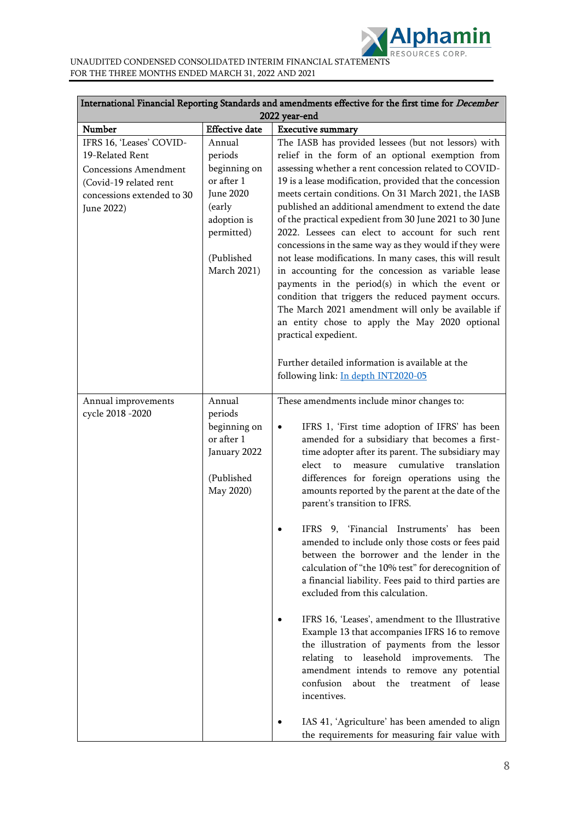

FOR THE THREE MONTHS ENDED MARCH 31, 2022 AND 2021

|                                                                                                                                                   | International Financial Reporting Standards and amendments effective for the first time for <i>December</i><br>2022 year-end            |                                                                                                                                                                                                                                                                                                                                                                                                                                                                                                                                                                                                                                                                                                                                                                                                                                                                                                                                                                                                                                   |  |  |
|---------------------------------------------------------------------------------------------------------------------------------------------------|-----------------------------------------------------------------------------------------------------------------------------------------|-----------------------------------------------------------------------------------------------------------------------------------------------------------------------------------------------------------------------------------------------------------------------------------------------------------------------------------------------------------------------------------------------------------------------------------------------------------------------------------------------------------------------------------------------------------------------------------------------------------------------------------------------------------------------------------------------------------------------------------------------------------------------------------------------------------------------------------------------------------------------------------------------------------------------------------------------------------------------------------------------------------------------------------|--|--|
| Number                                                                                                                                            | <b>Effective</b> date                                                                                                                   | <b>Executive summary</b>                                                                                                                                                                                                                                                                                                                                                                                                                                                                                                                                                                                                                                                                                                                                                                                                                                                                                                                                                                                                          |  |  |
| IFRS 16, 'Leases' COVID-<br>19-Related Rent<br><b>Concessions Amendment</b><br>(Covid-19 related rent<br>concessions extended to 30<br>June 2022) | Annual<br>periods<br>beginning on<br>or after 1<br><b>June 2020</b><br>(early<br>adoption is<br>permitted)<br>(Published<br>March 2021) | The IASB has provided lessees (but not lessors) with<br>relief in the form of an optional exemption from<br>assessing whether a rent concession related to COVID-<br>19 is a lease modification, provided that the concession<br>meets certain conditions. On 31 March 2021, the IASB<br>published an additional amendment to extend the date<br>of the practical expedient from 30 June 2021 to 30 June<br>2022. Lessees can elect to account for such rent<br>concessions in the same way as they would if they were<br>not lease modifications. In many cases, this will result<br>in accounting for the concession as variable lease<br>payments in the period(s) in which the event or<br>condition that triggers the reduced payment occurs.<br>The March 2021 amendment will only be available if<br>an entity chose to apply the May 2020 optional<br>practical expedient.                                                                                                                                                |  |  |
|                                                                                                                                                   |                                                                                                                                         | Further detailed information is available at the<br>following link: In depth INT2020-05                                                                                                                                                                                                                                                                                                                                                                                                                                                                                                                                                                                                                                                                                                                                                                                                                                                                                                                                           |  |  |
| Annual improvements<br>cycle 2018 -2020                                                                                                           | Annual<br>periods<br>beginning on<br>or after 1<br>January 2022<br>(Published<br>May 2020)                                              | These amendments include minor changes to:<br>IFRS 1, 'First time adoption of IFRS' has been<br>$\bullet$<br>amended for a subsidiary that becomes a first-<br>time adopter after its parent. The subsidiary may<br>measure cumulative<br>elect<br>to<br>translation<br>differences for foreign operations using the<br>amounts reported by the parent at the date of the<br>parent's transition to IFRS.<br>9, 'Financial Instruments' has been<br>IFRS<br>amended to include only those costs or fees paid<br>between the borrower and the lender in the<br>calculation of "the 10% test" for derecognition of<br>a financial liability. Fees paid to third parties are<br>excluded from this calculation.<br>IFRS 16, 'Leases', amendment to the Illustrative<br>Example 13 that accompanies IFRS 16 to remove<br>the illustration of payments from the lessor<br>relating to leasehold improvements.<br>The<br>amendment intends to remove any potential<br>confusion<br>about the<br>treatment<br>of<br>lease<br>incentives. |  |  |
|                                                                                                                                                   |                                                                                                                                         | IAS 41, 'Agriculture' has been amended to align<br>the requirements for measuring fair value with                                                                                                                                                                                                                                                                                                                                                                                                                                                                                                                                                                                                                                                                                                                                                                                                                                                                                                                                 |  |  |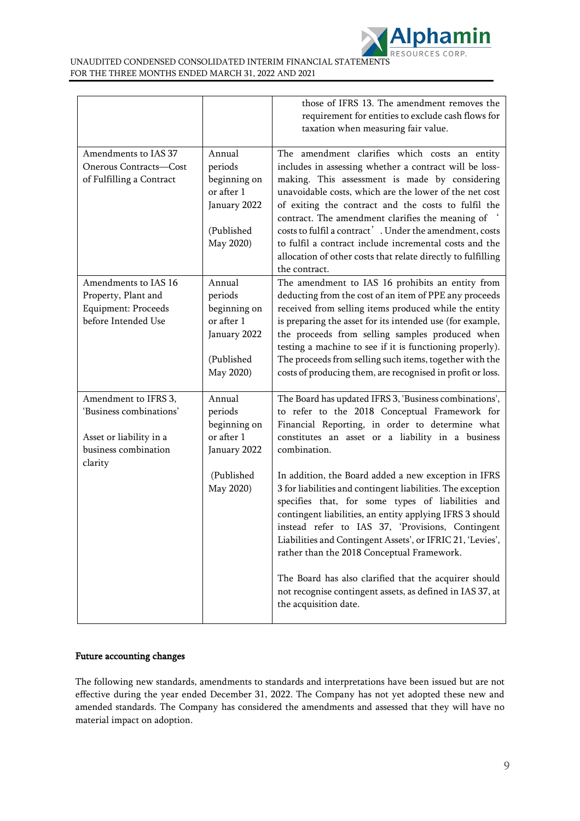

|                                                                                                    |                                                                                            | those of IFRS 13. The amendment removes the<br>requirement for entities to exclude cash flows for<br>taxation when measuring fair value.                                                                                                                                                                                                                                                                                                                                                                                             |
|----------------------------------------------------------------------------------------------------|--------------------------------------------------------------------------------------------|--------------------------------------------------------------------------------------------------------------------------------------------------------------------------------------------------------------------------------------------------------------------------------------------------------------------------------------------------------------------------------------------------------------------------------------------------------------------------------------------------------------------------------------|
| Amendments to IAS 37<br>Onerous Contracts-Cost<br>of Fulfilling a Contract                         | Annual<br>periods<br>beginning on<br>or after 1<br>January 2022<br>(Published<br>May 2020) | The amendment clarifies which costs an entity<br>includes in assessing whether a contract will be loss-<br>making. This assessment is made by considering<br>unavoidable costs, which are the lower of the net cost<br>of exiting the contract and the costs to fulfil the<br>contract. The amendment clarifies the meaning of<br>costs to fulfil a contract'. Under the amendment, costs<br>to fulfil a contract include incremental costs and the<br>allocation of other costs that relate directly to fulfilling<br>the contract. |
| Amendments to IAS 16<br>Property, Plant and<br>Equipment: Proceeds<br>before Intended Use          | Annual<br>periods<br>beginning on<br>or after 1<br>January 2022<br>(Published<br>May 2020) | The amendment to IAS 16 prohibits an entity from<br>deducting from the cost of an item of PPE any proceeds<br>received from selling items produced while the entity<br>is preparing the asset for its intended use (for example,<br>the proceeds from selling samples produced when<br>testing a machine to see if it is functioning properly).<br>The proceeds from selling such items, together with the<br>costs of producing them, are recognised in profit or loss.                                                             |
| Amendment to IFRS 3,<br>'Business combinations'<br>Asset or liability in a<br>business combination | Annual<br>periods<br>beginning on<br>or after 1<br>January 2022                            | The Board has updated IFRS 3, 'Business combinations',<br>to refer to the 2018 Conceptual Framework for<br>Financial Reporting, in order to determine what<br>constitutes an asset or a liability in a business<br>combination.                                                                                                                                                                                                                                                                                                      |
| clarity                                                                                            | (Published<br>May 2020)                                                                    | In addition, the Board added a new exception in IFRS<br>3 for liabilities and contingent liabilities. The exception<br>specifies that, for some types of liabilities and<br>contingent liabilities, an entity applying IFRS 3 should<br>instead refer to IAS 37, 'Provisions, Contingent<br>Liabilities and Contingent Assets', or IFRIC 21, 'Levies',<br>rather than the 2018 Conceptual Framework.                                                                                                                                 |
|                                                                                                    |                                                                                            | The Board has also clarified that the acquirer should<br>not recognise contingent assets, as defined in IAS 37, at<br>the acquisition date.                                                                                                                                                                                                                                                                                                                                                                                          |

### Future accounting changes

The following new standards, amendments to standards and interpretations have been issued but are not effective during the year ended December 31, 2022. The Company has not yet adopted these new and amended standards. The Company has considered the amendments and assessed that they will have no material impact on adoption.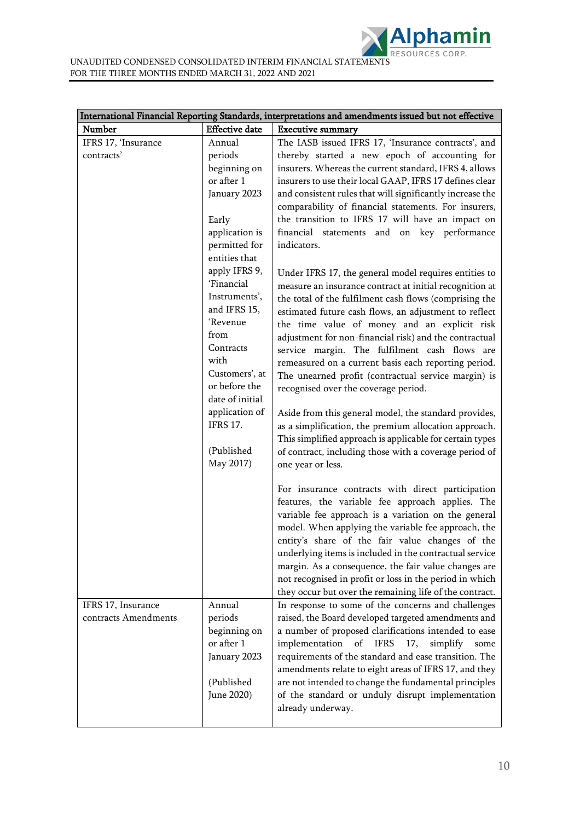| Number                                     | <b>Effective</b> date                                                                                                                                                                                                                                                                                                                          | International Financial Reporting Standards, interpretations and amendments issued but not effective<br><b>Executive summary</b>                                                                                                                                                                                                                                                                                                                                                                                                                                                                                                                                                                                                                                                                                                                                                                                                                                                                                                                                                                                                                                                                        |
|--------------------------------------------|------------------------------------------------------------------------------------------------------------------------------------------------------------------------------------------------------------------------------------------------------------------------------------------------------------------------------------------------|---------------------------------------------------------------------------------------------------------------------------------------------------------------------------------------------------------------------------------------------------------------------------------------------------------------------------------------------------------------------------------------------------------------------------------------------------------------------------------------------------------------------------------------------------------------------------------------------------------------------------------------------------------------------------------------------------------------------------------------------------------------------------------------------------------------------------------------------------------------------------------------------------------------------------------------------------------------------------------------------------------------------------------------------------------------------------------------------------------------------------------------------------------------------------------------------------------|
|                                            |                                                                                                                                                                                                                                                                                                                                                |                                                                                                                                                                                                                                                                                                                                                                                                                                                                                                                                                                                                                                                                                                                                                                                                                                                                                                                                                                                                                                                                                                                                                                                                         |
| IFRS 17, 'Insurance<br>contracts'          | Annual<br>periods<br>beginning on<br>or after 1<br>January 2023<br>Early<br>application is<br>permitted for<br>entities that<br>apply IFRS 9,<br>'Financial<br>Instruments',<br>and IFRS 15,<br>'Revenue<br>from<br>Contracts<br>with<br>Customers', at<br>or before the<br>date of initial<br>application of<br><b>IFRS 17.</b><br>(Published | The IASB issued IFRS 17, 'Insurance contracts', and<br>thereby started a new epoch of accounting for<br>insurers. Whereas the current standard, IFRS 4, allows<br>insurers to use their local GAAP, IFRS 17 defines clear<br>and consistent rules that will significantly increase the<br>comparability of financial statements. For insurers,<br>the transition to IFRS 17 will have an impact on<br>financial statements and on key performance<br>indicators.<br>Under IFRS 17, the general model requires entities to<br>measure an insurance contract at initial recognition at<br>the total of the fulfilment cash flows (comprising the<br>estimated future cash flows, an adjustment to reflect<br>the time value of money and an explicit risk<br>adjustment for non-financial risk) and the contractual<br>service margin. The fulfilment cash flows are<br>remeasured on a current basis each reporting period.<br>The unearned profit (contractual service margin) is<br>recognised over the coverage period.<br>Aside from this general model, the standard provides,<br>as a simplification, the premium allocation approach.<br>This simplified approach is applicable for certain types |
| IFRS 17, Insurance<br>contracts Amendments | May 2017)<br>Annual<br>periods<br>beginning on<br>or after 1<br>January 2023<br>(Published<br>June 2020)                                                                                                                                                                                                                                       | of contract, including those with a coverage period of<br>one year or less.<br>For insurance contracts with direct participation<br>features, the variable fee approach applies. The<br>variable fee approach is a variation on the general<br>model. When applying the variable fee approach, the<br>entity's share of the fair value changes of the<br>underlying items is included in the contractual service<br>margin. As a consequence, the fair value changes are<br>not recognised in profit or loss in the period in which<br>they occur but over the remaining life of the contract.<br>In response to some of the concerns and challenges<br>raised, the Board developed targeted amendments and<br>a number of proposed clarifications intended to ease<br>implementation<br>of<br><b>IFRS</b><br>17,<br>simplify<br>some<br>requirements of the standard and ease transition. The<br>amendments relate to eight areas of IFRS 17, and they<br>are not intended to change the fundamental principles<br>of the standard or unduly disrupt implementation<br>already underway.                                                                                                               |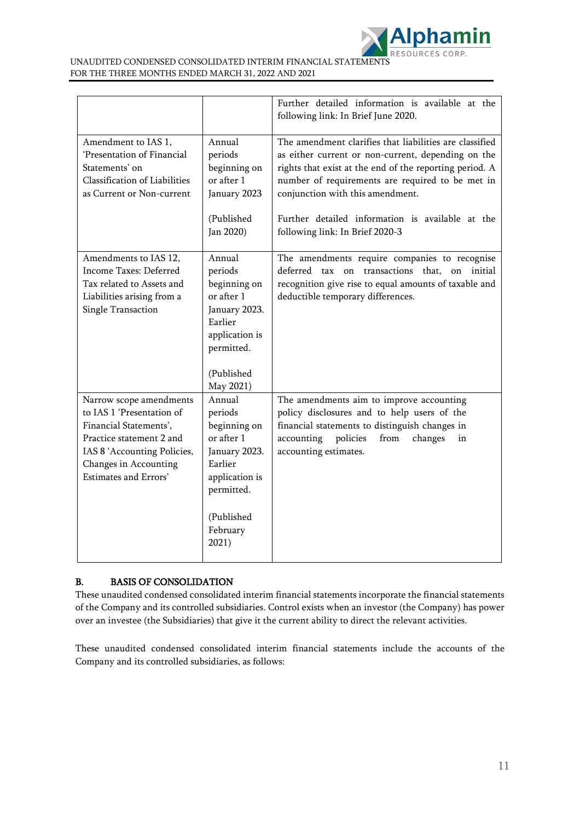

|                                                                                                                                                                                             |                                                                                                                                                | Further detailed information is available at the<br>following link: In Brief June 2020.                                                                                                                                                                          |
|---------------------------------------------------------------------------------------------------------------------------------------------------------------------------------------------|------------------------------------------------------------------------------------------------------------------------------------------------|------------------------------------------------------------------------------------------------------------------------------------------------------------------------------------------------------------------------------------------------------------------|
| Amendment to IAS 1,<br>'Presentation of Financial<br>Statements' on<br>Classification of Liabilities<br>as Current or Non-current                                                           | Annual<br>periods<br>beginning on<br>or after 1<br>January 2023                                                                                | The amendment clarifies that liabilities are classified<br>as either current or non-current, depending on the<br>rights that exist at the end of the reporting period. A<br>number of requirements are required to be met in<br>conjunction with this amendment. |
|                                                                                                                                                                                             | (Published<br>Jan 2020)                                                                                                                        | Further detailed information is available at the<br>following link: In Brief 2020-3                                                                                                                                                                              |
| Amendments to IAS 12,<br>Income Taxes: Deferred<br>Tax related to Assets and<br>Liabilities arising from a<br><b>Single Transaction</b>                                                     | Annual<br>periods<br>beginning on<br>or after 1<br>January 2023.<br>Earlier<br>application is<br>permitted.<br>(Published<br>May 2021)         | The amendments require companies to recognise<br>deferred<br>that,<br>transactions<br>initial<br>tax on<br>on<br>recognition give rise to equal amounts of taxable and<br>deductible temporary differences.                                                      |
| Narrow scope amendments<br>to IAS 1 'Presentation of<br>Financial Statements',<br>Practice statement 2 and<br>IAS 8 'Accounting Policies,<br>Changes in Accounting<br>Estimates and Errors' | Annual<br>periods<br>beginning on<br>or after 1<br>January 2023.<br>Earlier<br>application is<br>permitted.<br>(Published<br>February<br>2021) | The amendments aim to improve accounting<br>policy disclosures and to help users of the<br>financial statements to distinguish changes in<br>accounting<br>policies<br>from<br>changes<br>in<br>accounting estimates.                                            |

## B. BASIS OF CONSOLIDATION

These unaudited condensed consolidated interim financial statements incorporate the financial statements of the Company and its controlled subsidiaries. Control exists when an investor (the Company) has power over an investee (the Subsidiaries) that give it the current ability to direct the relevant activities.

These unaudited condensed consolidated interim financial statements include the accounts of the Company and its controlled subsidiaries, as follows: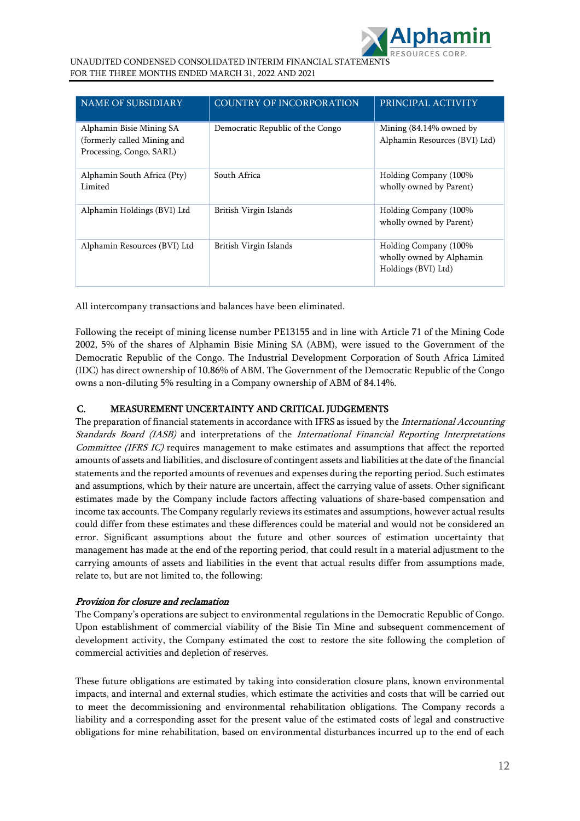

| <b>NAME OF SUBSIDIARY</b>                                                           | COUNTRY OF INCORPORATION         | PRINCIPAL ACTIVITY                                                       |
|-------------------------------------------------------------------------------------|----------------------------------|--------------------------------------------------------------------------|
| Alphamin Bisie Mining SA<br>(formerly called Mining and<br>Processing, Congo, SARL) | Democratic Republic of the Congo | Mining $(84.14\%$ owned by<br>Alphamin Resources (BVI) Ltd)              |
| Alphamin South Africa (Pty)<br>Limited                                              | South Africa                     | Holding Company (100%<br>wholly owned by Parent)                         |
| Alphamin Holdings (BVI) Ltd                                                         | British Virgin Islands           | Holding Company (100%<br>wholly owned by Parent)                         |
| Alphamin Resources (BVI) Ltd                                                        | British Virgin Islands           | Holding Company (100%<br>wholly owned by Alphamin<br>Holdings (BVI) Ltd) |

All intercompany transactions and balances have been eliminated.

Following the receipt of mining license number PE13155 and in line with Article 71 of the Mining Code 2002, 5% of the shares of Alphamin Bisie Mining SA (ABM), were issued to the Government of the Democratic Republic of the Congo. The Industrial Development Corporation of South Africa Limited (IDC) has direct ownership of 10.86% of ABM. The Government of the Democratic Republic of the Congo owns a non-diluting 5% resulting in a Company ownership of ABM of 84.14%.

### C. MEASUREMENT UNCERTAINTY AND CRITICAL JUDGEMENTS

The preparation of financial statements in accordance with IFRS as issued by the International Accounting Standards Board (IASB) and interpretations of the International Financial Reporting Interpretations Committee (IFRS IC) requires management to make estimates and assumptions that affect the reported amounts of assets and liabilities, and disclosure of contingent assets and liabilities at the date of the financial statements and the reported amounts of revenues and expenses during the reporting period. Such estimates and assumptions, which by their nature are uncertain, affect the carrying value of assets. Other significant estimates made by the Company include factors affecting valuations of share-based compensation and income tax accounts. The Company regularly reviews its estimates and assumptions, however actual results could differ from these estimates and these differences could be material and would not be considered an error. Significant assumptions about the future and other sources of estimation uncertainty that management has made at the end of the reporting period, that could result in a material adjustment to the carrying amounts of assets and liabilities in the event that actual results differ from assumptions made, relate to, but are not limited to, the following:

### Provision for closure and reclamation

The Company's operations are subject to environmental regulations in the Democratic Republic of Congo. Upon establishment of commercial viability of the Bisie Tin Mine and subsequent commencement of development activity, the Company estimated the cost to restore the site following the completion of commercial activities and depletion of reserves.

These future obligations are estimated by taking into consideration closure plans, known environmental impacts, and internal and external studies, which estimate the activities and costs that will be carried out to meet the decommissioning and environmental rehabilitation obligations. The Company records a liability and a corresponding asset for the present value of the estimated costs of legal and constructive obligations for mine rehabilitation, based on environmental disturbances incurred up to the end of each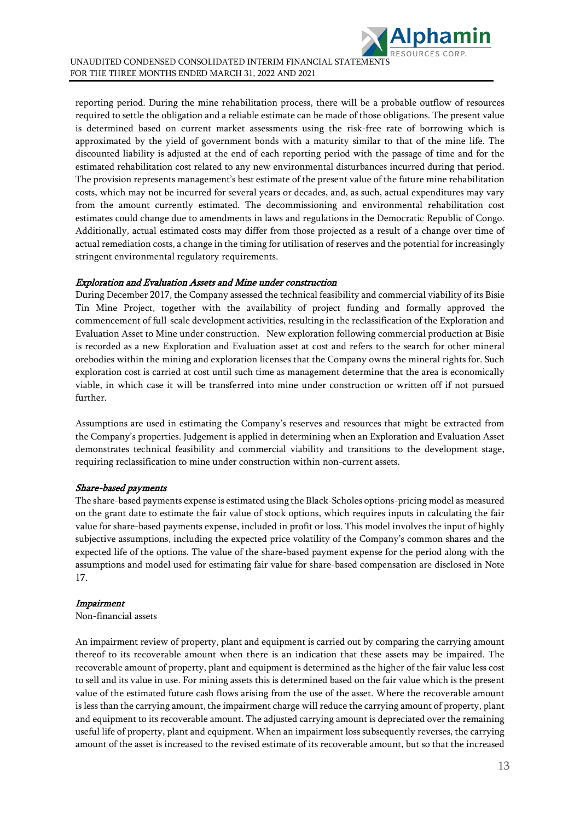

reporting period. During the mine rehabilitation process, there will be a probable outflow of resources required to settle the obligation and a reliable estimate can be made of those obligations. The present value is determined based on current market assessments using the risk-free rate of borrowing which is approximated by the yield of government bonds with a maturity similar to that of the mine life. The discounted liability is adjusted at the end of each reporting period with the passage of time and for the estimated rehabilitation cost related to any new environmental disturbances incurred during that period. The provision represents management's best estimate of the present value of the future mine rehabilitation costs, which may not be incurred for several years or decades, and, as such, actual expenditures may vary from the amount currently estimated. The decommissioning and environmental rehabilitation cost estimates could change due to amendments in laws and regulations in the Democratic Republic of Congo. Additionally, actual estimated costs may differ from those projected as a result of a change over time of actual remediation costs, a change in the timing for utilisation of reserves and the potential for increasingly stringent environmental regulatory requirements.

#### Exploration and Evaluation Assets and Mine under construction

During December 2017, the Company assessed the technical feasibility and commercial viability of its Bisie Tin Mine Project, together with the availability of project funding and formally approved the commencement of full-scale development activities, resulting in the reclassification of the Exploration and Evaluation Asset to Mine under construction. New exploration following commercial production at Bisie is recorded as a new Exploration and Evaluation asset at cost and refers to the search for other mineral orebodies within the mining and exploration licenses that the Company owns the mineral rights for. Such exploration cost is carried at cost until such time as management determine that the area is economically viable, in which case it will be transferred into mine under construction or written off if not pursued further.

Assumptions are used in estimating the Company's reserves and resources that might be extracted from the Company's properties. Judgement is applied in determining when an Exploration and Evaluation Asset demonstrates technical feasibility and commercial viability and transitions to the development stage, requiring reclassification to mine under construction within non-current assets.

### Share-based payments

The share-based payments expense is estimated using the Black-Scholes options-pricing model as measured on the grant date to estimate the fair value of stock options, which requires inputs in calculating the fair value for share-based payments expense, included in profit or loss. This model involves the input of highly subjective assumptions, including the expected price volatility of the Company's common shares and the expected life of the options. The value of the share-based payment expense for the period along with the assumptions and model used for estimating fair value for share-based compensation are disclosed in Note 17.

#### Impairment

Non-financial assets

An impairment review of property, plant and equipment is carried out by comparing the carrying amount thereof to its recoverable amount when there is an indication that these assets may be impaired. The recoverable amount of property, plant and equipment is determined as the higher of the fair value less cost to sell and its value in use. For mining assets this is determined based on the fair value which is the present value of the estimated future cash flows arising from the use of the asset. Where the recoverable amount is less than the carrying amount, the impairment charge will reduce the carrying amount of property, plant and equipment to its recoverable amount. The adjusted carrying amount is depreciated over the remaining useful life of property, plant and equipment. When an impairment loss subsequently reverses, the carrying amount of the asset is increased to the revised estimate of its recoverable amount, but so that the increased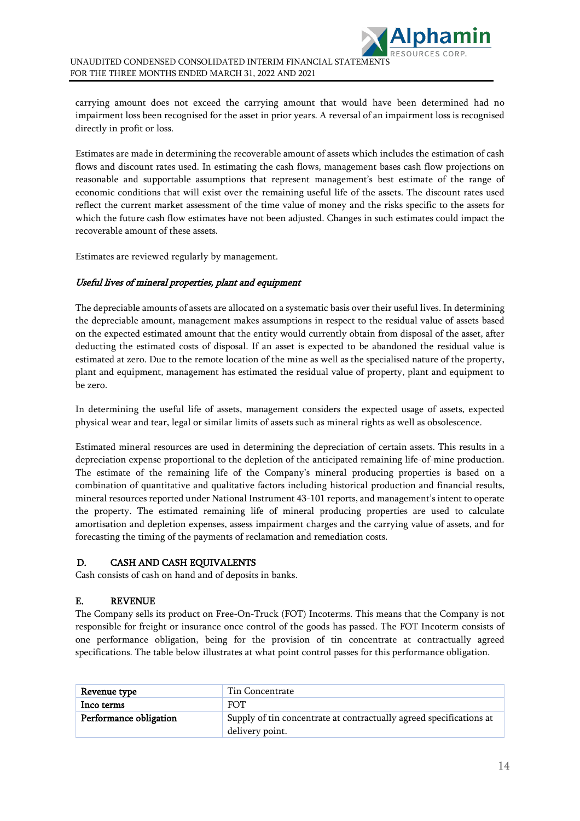carrying amount does not exceed the carrying amount that would have been determined had no impairment loss been recognised for the asset in prior years. A reversal of an impairment loss is recognised directly in profit or loss.

Estimates are made in determining the recoverable amount of assets which includes the estimation of cash flows and discount rates used. In estimating the cash flows, management bases cash flow projections on reasonable and supportable assumptions that represent management's best estimate of the range of economic conditions that will exist over the remaining useful life of the assets. The discount rates used reflect the current market assessment of the time value of money and the risks specific to the assets for which the future cash flow estimates have not been adjusted. Changes in such estimates could impact the recoverable amount of these assets.

Estimates are reviewed regularly by management.

### Useful lives of mineral properties, plant and equipment

The depreciable amounts of assets are allocated on a systematic basis over their useful lives. In determining the depreciable amount, management makes assumptions in respect to the residual value of assets based on the expected estimated amount that the entity would currently obtain from disposal of the asset, after deducting the estimated costs of disposal. If an asset is expected to be abandoned the residual value is estimated at zero. Due to the remote location of the mine as well as the specialised nature of the property, plant and equipment, management has estimated the residual value of property, plant and equipment to be zero.

In determining the useful life of assets, management considers the expected usage of assets, expected physical wear and tear, legal or similar limits of assets such as mineral rights as well as obsolescence.

Estimated mineral resources are used in determining the depreciation of certain assets. This results in a depreciation expense proportional to the depletion of the anticipated remaining life-of-mine production. The estimate of the remaining life of the Company's mineral producing properties is based on a combination of quantitative and qualitative factors including historical production and financial results, mineral resources reported under National Instrument 43-101 reports, and management's intent to operate the property. The estimated remaining life of mineral producing properties are used to calculate amortisation and depletion expenses, assess impairment charges and the carrying value of assets, and for forecasting the timing of the payments of reclamation and remediation costs.

### D. CASH AND CASH EQUIVALENTS

Cash consists of cash on hand and of deposits in banks.

### E. REVENUE

The Company sells its product on Free-On-Truck (FOT) Incoterms. This means that the Company is not responsible for freight or insurance once control of the goods has passed. The FOT Incoterm consists of one performance obligation, being for the provision of tin concentrate at contractually agreed specifications. The table below illustrates at what point control passes for this performance obligation.

| Revenue type           | Tin Concentrate                                                                        |
|------------------------|----------------------------------------------------------------------------------------|
| Inco terms             | <b>FOT</b>                                                                             |
| Performance obligation | Supply of tin concentrate at contractually agreed specifications at<br>delivery point. |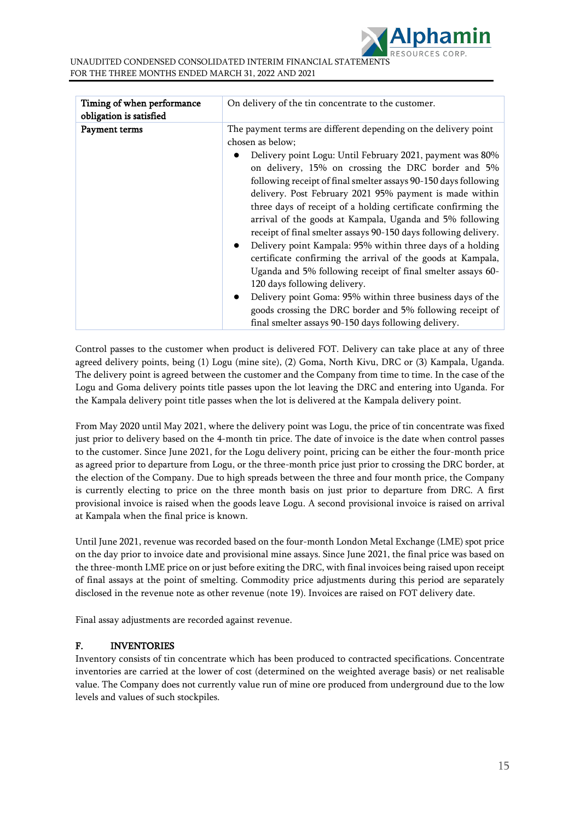| Timing of when performance<br>obligation is satisfied | On delivery of the tin concentrate to the customer.                                                                                                                                                                                                                                                                                                                                                                                                                                                                                                                                                                                                                                                                                                                                                                                                                                                                                                      |
|-------------------------------------------------------|----------------------------------------------------------------------------------------------------------------------------------------------------------------------------------------------------------------------------------------------------------------------------------------------------------------------------------------------------------------------------------------------------------------------------------------------------------------------------------------------------------------------------------------------------------------------------------------------------------------------------------------------------------------------------------------------------------------------------------------------------------------------------------------------------------------------------------------------------------------------------------------------------------------------------------------------------------|
| Payment terms                                         | The payment terms are different depending on the delivery point<br>chosen as below;<br>Delivery point Logu: Until February 2021, payment was 80%<br>on delivery, 15% on crossing the DRC border and 5%<br>following receipt of final smelter assays 90-150 days following<br>delivery. Post February 2021 95% payment is made within<br>three days of receipt of a holding certificate confirming the<br>arrival of the goods at Kampala, Uganda and 5% following<br>receipt of final smelter assays 90-150 days following delivery.<br>Delivery point Kampala: 95% within three days of a holding<br>٠<br>certificate confirming the arrival of the goods at Kampala,<br>Uganda and 5% following receipt of final smelter assays 60-<br>120 days following delivery.<br>Delivery point Goma: 95% within three business days of the<br>goods crossing the DRC border and 5% following receipt of<br>final smelter assays 90-150 days following delivery. |

Control passes to the customer when product is delivered FOT. Delivery can take place at any of three agreed delivery points, being (1) Logu (mine site), (2) Goma, North Kivu, DRC or (3) Kampala, Uganda. The delivery point is agreed between the customer and the Company from time to time. In the case of the Logu and Goma delivery points title passes upon the lot leaving the DRC and entering into Uganda. For the Kampala delivery point title passes when the lot is delivered at the Kampala delivery point.

From May 2020 until May 2021, where the delivery point was Logu, the price of tin concentrate was fixed just prior to delivery based on the 4-month tin price. The date of invoice is the date when control passes to the customer. Since June 2021, for the Logu delivery point, pricing can be either the four-month price as agreed prior to departure from Logu, or the three-month price just prior to crossing the DRC border, at the election of the Company. Due to high spreads between the three and four month price, the Company is currently electing to price on the three month basis on just prior to departure from DRC. A first provisional invoice is raised when the goods leave Logu. A second provisional invoice is raised on arrival at Kampala when the final price is known.

Until June 2021, revenue was recorded based on the four-month London Metal Exchange (LME) spot price on the day prior to invoice date and provisional mine assays. Since June 2021, the final price was based on the three-month LME price on or just before exiting the DRC, with final invoices being raised upon receipt of final assays at the point of smelting. Commodity price adjustments during this period are separately disclosed in the revenue note as other revenue (note 19). Invoices are raised on FOT delivery date.

Final assay adjustments are recorded against revenue.

### F. INVENTORIES

Inventory consists of tin concentrate which has been produced to contracted specifications. Concentrate inventories are carried at the lower of cost (determined on the weighted average basis) or net realisable value. The Company does not currently value run of mine ore produced from underground due to the low levels and values of such stockpiles.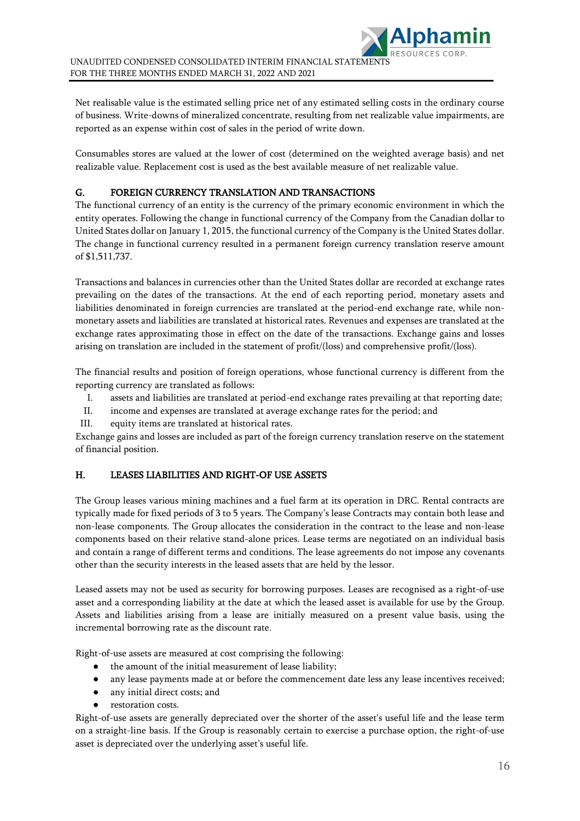

Net realisable value is the estimated selling price net of any estimated selling costs in the ordinary course of business. Write-downs of mineralized concentrate, resulting from net realizable value impairments, are reported as an expense within cost of sales in the period of write down.

Consumables stores are valued at the lower of cost (determined on the weighted average basis) and net realizable value. Replacement cost is used as the best available measure of net realizable value.

### G. FOREIGN CURRENCY TRANSLATION AND TRANSACTIONS

The functional currency of an entity is the currency of the primary economic environment in which the entity operates. Following the change in functional currency of the Company from the Canadian dollar to United States dollar on January 1, 2015, the functional currency of the Company is the United States dollar. The change in functional currency resulted in a permanent foreign currency translation reserve amount of \$1,511,737.

Transactions and balances in currencies other than the United States dollar are recorded at exchange rates prevailing on the dates of the transactions. At the end of each reporting period, monetary assets and liabilities denominated in foreign currencies are translated at the period-end exchange rate, while nonmonetary assets and liabilities are translated at historical rates. Revenues and expenses are translated at the exchange rates approximating those in effect on the date of the transactions. Exchange gains and losses arising on translation are included in the statement of profit/(loss) and comprehensive profit/(loss).

The financial results and position of foreign operations, whose functional currency is different from the reporting currency are translated as follows:

- I. assets and liabilities are translated at period-end exchange rates prevailing at that reporting date;
- II. income and expenses are translated at average exchange rates for the period; and
- III. equity items are translated at historical rates.

Exchange gains and losses are included as part of the foreign currency translation reserve on the statement of financial position.

## H. LEASES LIABILITIES AND RIGHT-OF USE ASSETS

The Group leases various mining machines and a fuel farm at its operation in DRC. Rental contracts are typically made for fixed periods of 3 to 5 years. The Company's lease Contracts may contain both lease and non-lease components. The Group allocates the consideration in the contract to the lease and non-lease components based on their relative stand-alone prices. Lease terms are negotiated on an individual basis and contain a range of different terms and conditions. The lease agreements do not impose any covenants other than the security interests in the leased assets that are held by the lessor.

Leased assets may not be used as security for borrowing purposes. Leases are recognised as a right-of-use asset and a corresponding liability at the date at which the leased asset is available for use by the Group. Assets and liabilities arising from a lease are initially measured on a present value basis, using the incremental borrowing rate as the discount rate.

Right-of-use assets are measured at cost comprising the following:

- the amount of the initial measurement of lease liability;
- any lease payments made at or before the commencement date less any lease incentives received;
- any initial direct costs; and
- restoration costs.

Right-of-use assets are generally depreciated over the shorter of the asset's useful life and the lease term on a straight-line basis. If the Group is reasonably certain to exercise a purchase option, the right-of-use asset is depreciated over the underlying asset's useful life.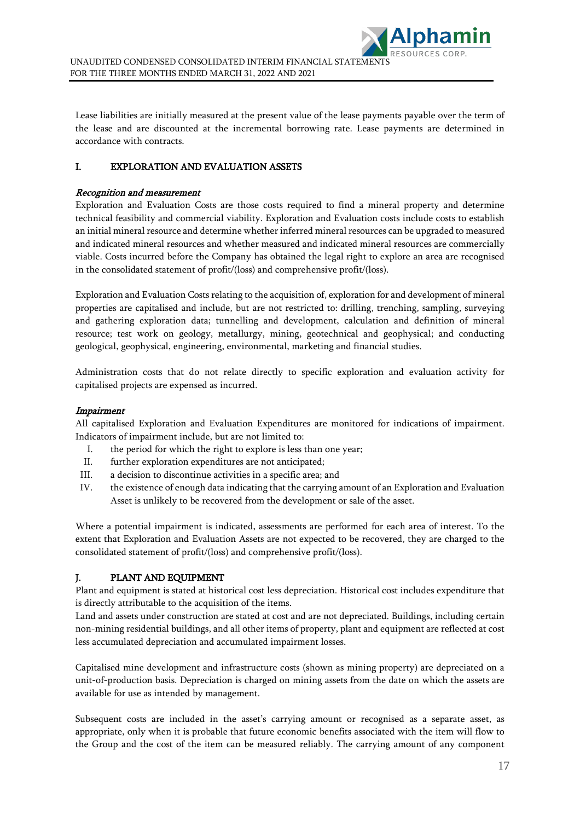Lease liabilities are initially measured at the present value of the lease payments payable over the term of the lease and are discounted at the incremental borrowing rate. Lease payments are determined in accordance with contracts.

## I. EXPLORATION AND EVALUATION ASSETS

#### Recognition and measurement

Exploration and Evaluation Costs are those costs required to find a mineral property and determine technical feasibility and commercial viability. Exploration and Evaluation costs include costs to establish an initial mineral resource and determine whether inferred mineral resources can be upgraded to measured and indicated mineral resources and whether measured and indicated mineral resources are commercially viable. Costs incurred before the Company has obtained the legal right to explore an area are recognised in the consolidated statement of profit/(loss) and comprehensive profit/(loss).

Exploration and Evaluation Costs relating to the acquisition of, exploration for and development of mineral properties are capitalised and include, but are not restricted to: drilling, trenching, sampling, surveying and gathering exploration data; tunnelling and development, calculation and definition of mineral resource; test work on geology, metallurgy, mining, geotechnical and geophysical; and conducting geological, geophysical, engineering, environmental, marketing and financial studies.

Administration costs that do not relate directly to specific exploration and evaluation activity for capitalised projects are expensed as incurred.

#### Impairment

All capitalised Exploration and Evaluation Expenditures are monitored for indications of impairment. Indicators of impairment include, but are not limited to:

- I. the period for which the right to explore is less than one year;
- II. further exploration expenditures are not anticipated;
- III. a decision to discontinue activities in a specific area; and
- IV. the existence of enough data indicating that the carrying amount of an Exploration and Evaluation Asset is unlikely to be recovered from the development or sale of the asset.

Where a potential impairment is indicated, assessments are performed for each area of interest. To the extent that Exploration and Evaluation Assets are not expected to be recovered, they are charged to the consolidated statement of profit/(loss) and comprehensive profit/(loss).

### J. PLANT AND EQUIPMENT

Plant and equipment is stated at historical cost less depreciation. Historical cost includes expenditure that is directly attributable to the acquisition of the items.

Land and assets under construction are stated at cost and are not depreciated. Buildings, including certain non-mining residential buildings, and all other items of property, plant and equipment are reflected at cost less accumulated depreciation and accumulated impairment losses.

Capitalised mine development and infrastructure costs (shown as mining property) are depreciated on a unit-of-production basis. Depreciation is charged on mining assets from the date on which the assets are available for use as intended by management.

Subsequent costs are included in the asset's carrying amount or recognised as a separate asset, as appropriate, only when it is probable that future economic benefits associated with the item will flow to the Group and the cost of the item can be measured reliably. The carrying amount of any component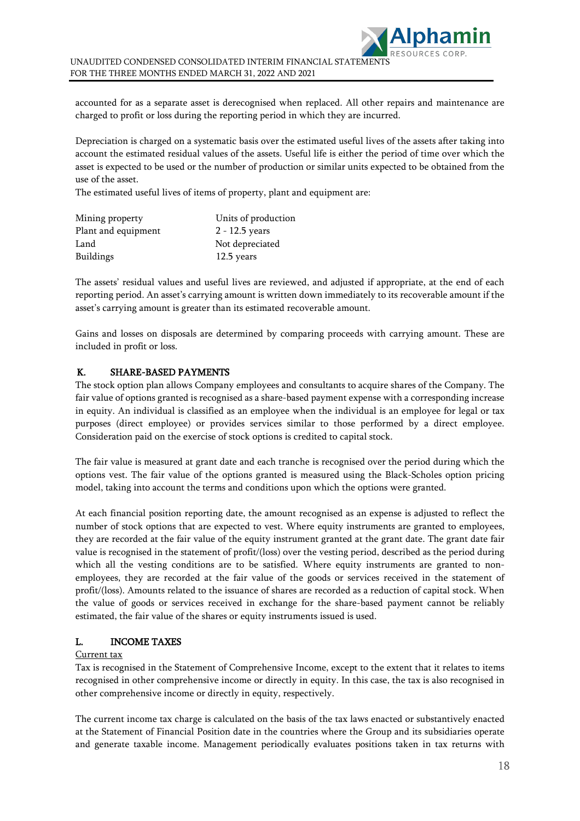

accounted for as a separate asset is derecognised when replaced. All other repairs and maintenance are charged to profit or loss during the reporting period in which they are incurred.

Depreciation is charged on a systematic basis over the estimated useful lives of the assets after taking into account the estimated residual values of the assets. Useful life is either the period of time over which the asset is expected to be used or the number of production or similar units expected to be obtained from the use of the asset.

The estimated useful lives of items of property, plant and equipment are:

| Mining property     | Units of production |
|---------------------|---------------------|
| Plant and equipment | $2 - 12.5$ years    |
| Land                | Not depreciated     |
| <b>Buildings</b>    | 12.5 years          |

The assets' residual values and useful lives are reviewed, and adjusted if appropriate, at the end of each reporting period. An asset's carrying amount is written down immediately to its recoverable amount if the asset's carrying amount is greater than its estimated recoverable amount.

Gains and losses on disposals are determined by comparing proceeds with carrying amount. These are included in profit or loss.

#### K. SHARE-BASED PAYMENTS

The stock option plan allows Company employees and consultants to acquire shares of the Company. The fair value of options granted is recognised as a share-based payment expense with a corresponding increase in equity. An individual is classified as an employee when the individual is an employee for legal or tax purposes (direct employee) or provides services similar to those performed by a direct employee. Consideration paid on the exercise of stock options is credited to capital stock.

The fair value is measured at grant date and each tranche is recognised over the period during which the options vest. The fair value of the options granted is measured using the Black-Scholes option pricing model, taking into account the terms and conditions upon which the options were granted.

At each financial position reporting date, the amount recognised as an expense is adjusted to reflect the number of stock options that are expected to vest. Where equity instruments are granted to employees, they are recorded at the fair value of the equity instrument granted at the grant date. The grant date fair value is recognised in the statement of profit/(loss) over the vesting period, described as the period during which all the vesting conditions are to be satisfied. Where equity instruments are granted to nonemployees, they are recorded at the fair value of the goods or services received in the statement of profit/(loss). Amounts related to the issuance of shares are recorded as a reduction of capital stock. When the value of goods or services received in exchange for the share-based payment cannot be reliably estimated, the fair value of the shares or equity instruments issued is used.

#### L. INCOME TAXES

#### Current tax

Tax is recognised in the Statement of Comprehensive Income, except to the extent that it relates to items recognised in other comprehensive income or directly in equity. In this case, the tax is also recognised in other comprehensive income or directly in equity, respectively.

The current income tax charge is calculated on the basis of the tax laws enacted or substantively enacted at the Statement of Financial Position date in the countries where the Group and its subsidiaries operate and generate taxable income. Management periodically evaluates positions taken in tax returns with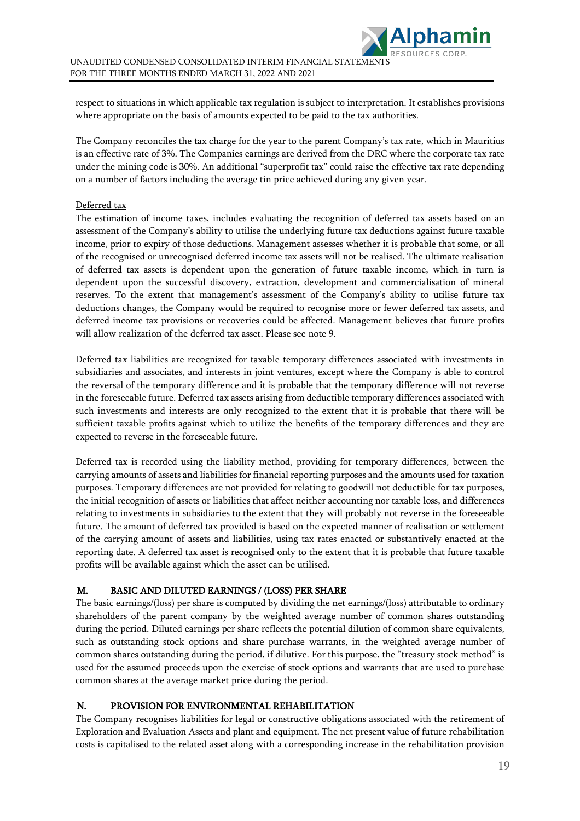respect to situations in which applicable tax regulation is subject to interpretation. It establishes provisions where appropriate on the basis of amounts expected to be paid to the tax authorities.

The Company reconciles the tax charge for the year to the parent Company's tax rate, which in Mauritius is an effective rate of 3%. The Companies earnings are derived from the DRC where the corporate tax rate under the mining code is 30%. An additional "superprofit tax" could raise the effective tax rate depending on a number of factors including the average tin price achieved during any given year.

#### Deferred tax

The estimation of income taxes, includes evaluating the recognition of deferred tax assets based on an assessment of the Company's ability to utilise the underlying future tax deductions against future taxable income, prior to expiry of those deductions. Management assesses whether it is probable that some, or all of the recognised or unrecognised deferred income tax assets will not be realised. The ultimate realisation of deferred tax assets is dependent upon the generation of future taxable income, which in turn is dependent upon the successful discovery, extraction, development and commercialisation of mineral reserves. To the extent that management's assessment of the Company's ability to utilise future tax deductions changes, the Company would be required to recognise more or fewer deferred tax assets, and deferred income tax provisions or recoveries could be affected. Management believes that future profits will allow realization of the deferred tax asset. Please see note 9.

Deferred tax liabilities are recognized for taxable temporary differences associated with investments in subsidiaries and associates, and interests in joint ventures, except where the Company is able to control the reversal of the temporary difference and it is probable that the temporary difference will not reverse in the foreseeable future. Deferred tax assets arising from deductible temporary differences associated with such investments and interests are only recognized to the extent that it is probable that there will be sufficient taxable profits against which to utilize the benefits of the temporary differences and they are expected to reverse in the foreseeable future.

Deferred tax is recorded using the liability method, providing for temporary differences, between the carrying amounts of assets and liabilities for financial reporting purposes and the amounts used for taxation purposes. Temporary differences are not provided for relating to goodwill not deductible for tax purposes, the initial recognition of assets or liabilities that affect neither accounting nor taxable loss, and differences relating to investments in subsidiaries to the extent that they will probably not reverse in the foreseeable future. The amount of deferred tax provided is based on the expected manner of realisation or settlement of the carrying amount of assets and liabilities, using tax rates enacted or substantively enacted at the reporting date. A deferred tax asset is recognised only to the extent that it is probable that future taxable profits will be available against which the asset can be utilised.

### M. BASIC AND DILUTED EARNINGS / (LOSS) PER SHARE

The basic earnings/(loss) per share is computed by dividing the net earnings/(loss) attributable to ordinary shareholders of the parent company by the weighted average number of common shares outstanding during the period. Diluted earnings per share reflects the potential dilution of common share equivalents, such as outstanding stock options and share purchase warrants, in the weighted average number of common shares outstanding during the period, if dilutive. For this purpose, the "treasury stock method" is used for the assumed proceeds upon the exercise of stock options and warrants that are used to purchase common shares at the average market price during the period.

### N. PROVISION FOR ENVIRONMENTAL REHABILITATION

The Company recognises liabilities for legal or constructive obligations associated with the retirement of Exploration and Evaluation Assets and plant and equipment. The net present value of future rehabilitation costs is capitalised to the related asset along with a corresponding increase in the rehabilitation provision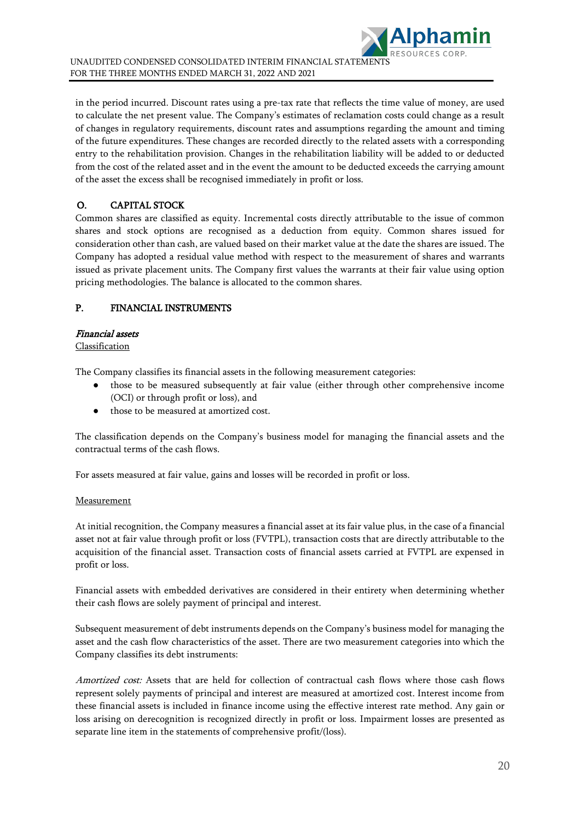

in the period incurred. Discount rates using a pre-tax rate that reflects the time value of money, are used to calculate the net present value. The Company's estimates of reclamation costs could change as a result of changes in regulatory requirements, discount rates and assumptions regarding the amount and timing of the future expenditures. These changes are recorded directly to the related assets with a corresponding entry to the rehabilitation provision. Changes in the rehabilitation liability will be added to or deducted from the cost of the related asset and in the event the amount to be deducted exceeds the carrying amount of the asset the excess shall be recognised immediately in profit or loss.

## O. CAPITAL STOCK

Common shares are classified as equity. Incremental costs directly attributable to the issue of common shares and stock options are recognised as a deduction from equity. Common shares issued for consideration other than cash, are valued based on their market value at the date the shares are issued. The Company has adopted a residual value method with respect to the measurement of shares and warrants issued as private placement units. The Company first values the warrants at their fair value using option pricing methodologies. The balance is allocated to the common shares.

## P. FINANCIAL INSTRUMENTS

## Financial assets

### **Classification**

The Company classifies its financial assets in the following measurement categories:

- those to be measured subsequently at fair value (either through other comprehensive income (OCI) or through profit or loss), and
- those to be measured at amortized cost.

The classification depends on the Company's business model for managing the financial assets and the contractual terms of the cash flows.

For assets measured at fair value, gains and losses will be recorded in profit or loss.

#### Measurement

At initial recognition, the Company measures a financial asset at its fair value plus, in the case of a financial asset not at fair value through profit or loss (FVTPL), transaction costs that are directly attributable to the acquisition of the financial asset. Transaction costs of financial assets carried at FVTPL are expensed in profit or loss.

Financial assets with embedded derivatives are considered in their entirety when determining whether their cash flows are solely payment of principal and interest.

Subsequent measurement of debt instruments depends on the Company's business model for managing the asset and the cash flow characteristics of the asset. There are two measurement categories into which the Company classifies its debt instruments:

Amortized cost: Assets that are held for collection of contractual cash flows where those cash flows represent solely payments of principal and interest are measured at amortized cost. Interest income from these financial assets is included in finance income using the effective interest rate method. Any gain or loss arising on derecognition is recognized directly in profit or loss. Impairment losses are presented as separate line item in the statements of comprehensive profit/(loss).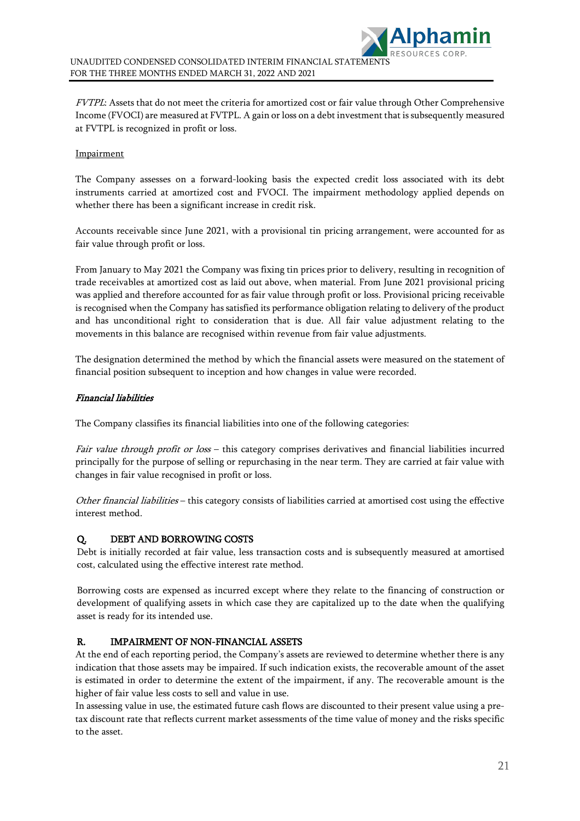

FVTPL: Assets that do not meet the criteria for amortized cost or fair value through Other Comprehensive Income (FVOCI) are measured at FVTPL. A gain or loss on a debt investment that is subsequently measured at FVTPL is recognized in profit or loss.

#### **Impairment**

The Company assesses on a forward-looking basis the expected credit loss associated with its debt instruments carried at amortized cost and FVOCI. The impairment methodology applied depends on whether there has been a significant increase in credit risk.

Accounts receivable since June 2021, with a provisional tin pricing arrangement, were accounted for as fair value through profit or loss.

From January to May 2021 the Company was fixing tin prices prior to delivery, resulting in recognition of trade receivables at amortized cost as laid out above, when material. From June 2021 provisional pricing was applied and therefore accounted for as fair value through profit or loss. Provisional pricing receivable is recognised when the Company has satisfied its performance obligation relating to delivery of the product and has unconditional right to consideration that is due. All fair value adjustment relating to the movements in this balance are recognised within revenue from fair value adjustments.

The designation determined the method by which the financial assets were measured on the statement of financial position subsequent to inception and how changes in value were recorded.

#### Financial liabilities

The Company classifies its financial liabilities into one of the following categories:

Fair value through profit or loss - this category comprises derivatives and financial liabilities incurred principally for the purpose of selling or repurchasing in the near term. They are carried at fair value with changes in fair value recognised in profit or loss.

Other financial liabilities – this category consists of liabilities carried at amortised cost using the effective interest method.

### Q. DEBT AND BORROWING COSTS

Debt is initially recorded at fair value, less transaction costs and is subsequently measured at amortised cost, calculated using the effective interest rate method.

Borrowing costs are expensed as incurred except where they relate to the financing of construction or development of qualifying assets in which case they are capitalized up to the date when the qualifying asset is ready for its intended use.

### R. IMPAIRMENT OF NON-FINANCIAL ASSETS

At the end of each reporting period, the Company's assets are reviewed to determine whether there is any indication that those assets may be impaired. If such indication exists, the recoverable amount of the asset is estimated in order to determine the extent of the impairment, if any. The recoverable amount is the higher of fair value less costs to sell and value in use.

In assessing value in use, the estimated future cash flows are discounted to their present value using a pretax discount rate that reflects current market assessments of the time value of money and the risks specific to the asset.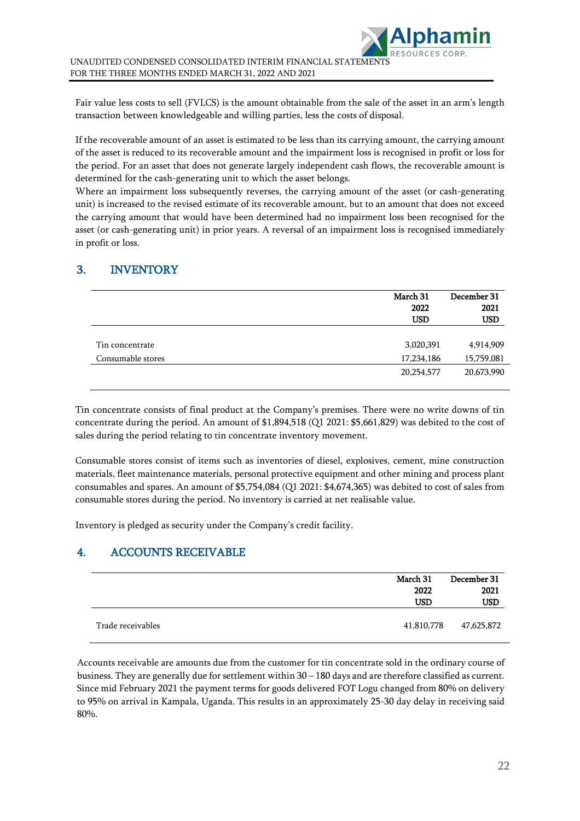Fair value less costs to sell (FVLCS) is the amount obtainable from the sale of the asset in an arm's length transaction between knowledgeable and willing parties, less the costs of disposal.

If the recoverable amount of an asset is estimated to be less than its carrying amount, the carrying amount of the asset is reduced to its recoverable amount and the impairment loss is recognised in profit or loss for the period. For an asset that does not generate largely independent cash flows, the recoverable amount is determined for the cash-generating unit to which the asset belongs.

Where an impairment loss subsequently reverses, the carrying amount of the asset (or cash-generating unit) is increased to the revised estimate of its recoverable amount, but to an amount that does not exceed the carrying amount that would have been determined had no impairment loss been recognised for the asset (or cash-generating unit) in prior years. A reversal of an impairment loss is recognised immediately in profit or loss.

## 3. INVENTORY

|                   | March 31<br>2022<br><b>USD</b> | December 31<br>2021<br>USD |
|-------------------|--------------------------------|----------------------------|
| Tin concentrate   | 3,020,391                      | 4,914,909                  |
| Consumable stores | 17,234,186                     | 15,759,081                 |
|                   | 20,254,577                     | 20,673,990                 |

Tin concentrate consists of final product at the Company's premises. There were no write downs of tin concentrate during the period. An amount of \$1,894,518 (Q1 2021: \$5,661,829) was debited to the cost of sales during the period relating to tin concentrate inventory movement.

Consumable stores consist of items such as inventories of diesel, explosives, cement, mine construction materials, fleet maintenance materials, personal protective equipment and other mining and process plant consumables and spares. An amount of \$5,754,084 (Q1 2021: \$4,674,365) was debited to cost of sales from consumable stores during the period. No inventory is carried at net realisable value.

Inventory is pledged as security under the Company's credit facility.

## 4. ACCOUNTS RECEIVABLE

|                   | March 31<br>2022<br><b>USD</b> | December 31<br>2021<br>USD |
|-------------------|--------------------------------|----------------------------|
| Trade receivables | 41,810,778                     | 47,625,872                 |

Accounts receivable are amounts due from the customer for tin concentrate sold in the ordinary course of business. They are generally due for settlement within 30 – 180 days and are therefore classified as current. Since mid February 2021 the payment terms for goods delivered FOT Logu changed from 80% on delivery to 95% on arrival in Kampala, Uganda. This results in an approximately 25-30 day delay in receiving said 80%.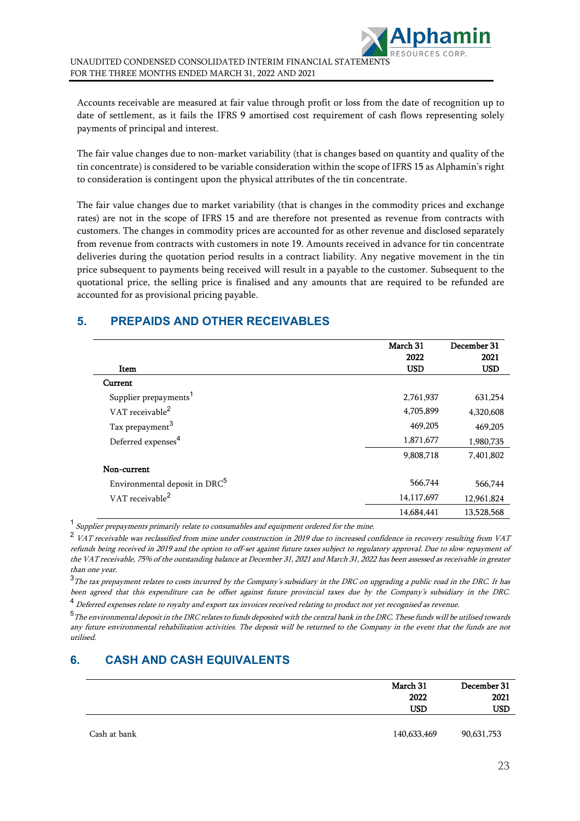Accounts receivable are measured at fair value through profit or loss from the date of recognition up to date of settlement, as it fails the IFRS 9 amortised cost requirement of cash flows representing solely payments of principal and interest.

The fair value changes due to non-market variability (that is changes based on quantity and quality of the tin concentrate) is considered to be variable consideration within the scope of IFRS 15 as Alphamin's right to consideration is contingent upon the physical attributes of the tin concentrate.

The fair value changes due to market variability (that is changes in the commodity prices and exchange rates) are not in the scope of IFRS 15 and are therefore not presented as revenue from contracts with customers. The changes in commodity prices are accounted for as other revenue and disclosed separately from revenue from contracts with customers in note 19. Amounts received in advance for tin concentrate deliveries during the quotation period results in a contract liability. Any negative movement in the tin price subsequent to payments being received will result in a payable to the customer. Subsequent to the quotational price, the selling price is finalised and any amounts that are required to be refunded are accounted for as provisional pricing payable.

## **5. PREPAIDS AND OTHER RECEIVABLES**

|                                           | March 31   | December 31 |
|-------------------------------------------|------------|-------------|
|                                           | 2022       | 2021        |
| Item                                      | <b>USD</b> | <b>USD</b>  |
| Current                                   |            |             |
| Supplier prepayments <sup>1</sup>         | 2,761,937  | 631,254     |
| VAT receivable <sup>2</sup>               | 4,705,899  | 4,320,608   |
| Tax prepayment <sup>3</sup>               | 469,205    | 469,205     |
| Deferred expenses <sup>4</sup>            | 1,871,677  | 1,980,735   |
|                                           | 9,808,718  | 7,401,802   |
| Non-current                               |            |             |
| Environmental deposit in DRC <sup>5</sup> | 566,744    | 566,744     |
| VAT receivable <sup>2</sup>               | 14,117,697 | 12,961,824  |
|                                           | 14,684,441 | 13,528,568  |

<sup>1</sup> Supplier prepayments primarily relate to consumables and equipment ordered for the mine.

 $2$  VAT receivable was reclassified from mine under construction in 2019 due to increased confidence in recovery resulting from VAT refunds being received in 2019 and the option to off-set against future taxes subject to regulatory approval. Due to slow repayment of the VAT receivable, 75% of the outstanding balance at December 31, 2021 and March 31, 2022 has been assessed as receivable in greater than one year.

<sup>3</sup>The tax prepayment relates to costs incurred by the Company's subsidiary in the DRC on upgrading a public road in the DRC. It has been agreed that this expenditure can be offset against future provincial taxes due by the Company's subsidiary in the DRC.

<sup>4</sup> Deferred expenses relate to royalty and export tax invoices received relating to product not yet recognised as revenue.

<sup>5</sup> The environmental deposit in the DRC relates to funds deposited with the central bank in the DRC. These funds will be utilised towards any future environmental rehabilitation activities. The deposit will be returned to the Company in the event that the funds are not utilised.

## **6. CASH AND CASH EQUIVALENTS**

|              | March 31    | December 31 |
|--------------|-------------|-------------|
|              | 2022        | 2021        |
|              | <b>USD</b>  | <b>USD</b>  |
| Cash at bank | 140,633,469 | 90,631,753  |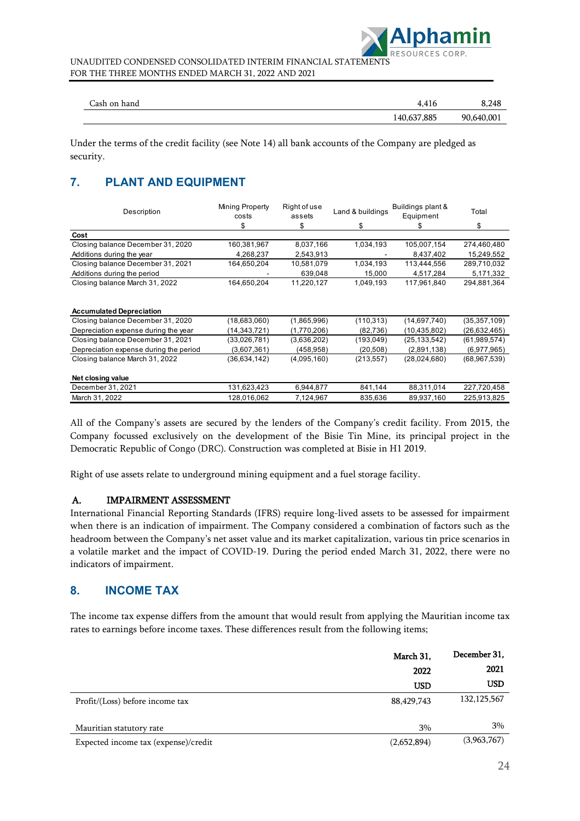

| Cash on hand | 4.416       | 8.248      |
|--------------|-------------|------------|
|              | 140,637,885 | 90,640,001 |

Under the terms of the credit facility (see Note 14) all bank accounts of the Company are pledged as security.

## **7. PLANT AND EQUIPMENT**

| Description                            | Mining Property<br>costs | Right of use<br>assets | Land & buildings | Buildings plant &<br>Equipment | Total          |
|----------------------------------------|--------------------------|------------------------|------------------|--------------------------------|----------------|
|                                        | \$                       | \$                     | \$               | æ                              | \$             |
| Cost                                   |                          |                        |                  |                                |                |
| Closing balance December 31, 2020      | 160,381,967              | 8,037,166              | 1,034,193        | 105,007,154                    | 274,460,480    |
| Additions during the year              | 4,268,237                | 2,543,913              |                  | 8,437,402                      | 15,249,552     |
| Closing balance December 31, 2021      | 164,650,204              | 10,581,079             | 1,034,193        | 113,444,556                    | 289,710,032    |
| Additions during the period            |                          | 639,048                | 15,000           | 4,517,284                      | 5,171,332      |
| Closing balance March 31, 2022         | 164,650,204              | 11,220,127             | 1,049,193        | 117,961,840                    | 294,881,364    |
| <b>Accumulated Depreciation</b>        |                          |                        |                  |                                |                |
| Closing balance December 31, 2020      | (18,683,060)             | (1,865,996)            | (110, 313)       | (14,697,740)                   | (35, 357, 109) |
| Depreciation expense during the year   | (14,343,721)             | (1,770,206)            | (82, 736)        | (10, 435, 802)                 | (26, 632, 465) |
| Closing balance December 31, 2021      | (33,026,781)             | (3,636,202)            | (193,049)        | (25, 133, 542)                 | (61,989,574)   |
| Depreciation expense during the period | (3,607,361)              | (458,958)              | (20, 508)        | (2,891,138)                    | (6,977,965)    |
| Closing balance March 31, 2022         | (36, 634, 142)           | (4,095,160)            | (213, 557)       | (28,024,680)                   | (68, 967, 539) |
| Net closing value                      |                          |                        |                  |                                |                |
| December 31, 2021                      | 131,623,423              | 6,944,877              | 841,144          | 88,311,014                     | 227,720,458    |
| March 31, 2022                         | 128,016,062              | 7,124,967              | 835,636          | 89,937,160                     | 225,913,825    |

All of the Company's assets are secured by the lenders of the Company's credit facility. From 2015, the Company focussed exclusively on the development of the Bisie Tin Mine, its principal project in the Democratic Republic of Congo (DRC). Construction was completed at Bisie in H1 2019.

Right of use assets relate to underground mining equipment and a fuel storage facility.

### A. IMPAIRMENT ASSESSMENT

International Financial Reporting Standards (IFRS) require long-lived assets to be assessed for impairment when there is an indication of impairment. The Company considered a combination of factors such as the headroom between the Company's net asset value and its market capitalization, various tin price scenarios in a volatile market and the impact of COVID-19. During the period ended March 31, 2022, there were no indicators of impairment.

## **8. INCOME TAX**

The income tax expense differs from the amount that would result from applying the Mauritian income tax rates to earnings before income taxes. These differences result from the following items;

|                                      | March 31,   | December 31,  |
|--------------------------------------|-------------|---------------|
|                                      | 2022        | 2021          |
|                                      | <b>USD</b>  | USD           |
| Profit/(Loss) before income tax      | 88,429,743  | 132, 125, 567 |
| Mauritian statutory rate             | 3%          | 3%            |
| Expected income tax (expense)/credit | (2,652,894) | (3,963,767)   |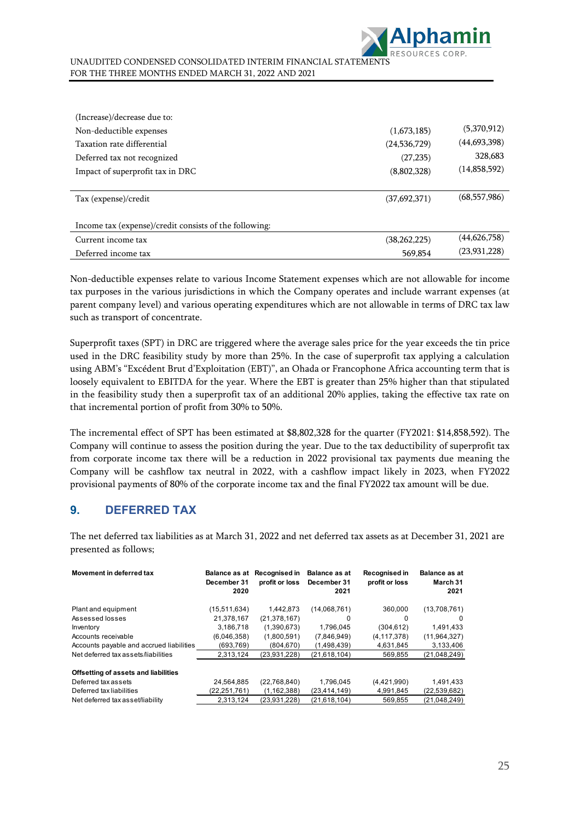

| (1,673,185)    | (5,370,912)    |
|----------------|----------------|
| (24, 536, 729) | (44, 693, 398) |
| (27, 235)      | 328,683        |
| (8,802,328)    | (14,858,592)   |
|                |                |
| (37,692,371)   | (68, 557, 986) |
|                |                |
|                |                |
| (38, 262, 225) | (44,626,758)   |
| 569,854        | (23, 931, 228) |
|                |                |

Non-deductible expenses relate to various Income Statement expenses which are not allowable for income tax purposes in the various jurisdictions in which the Company operates and include warrant expenses (at parent company level) and various operating expenditures which are not allowable in terms of DRC tax law such as transport of concentrate.

Superprofit taxes (SPT) in DRC are triggered where the average sales price for the year exceeds the tin price used in the DRC feasibility study by more than 25%. In the case of superprofit tax applying a calculation using ABM's "Excédent Brut d'Exploitation (EBT)", an Ohada or Francophone Africa accounting term that is loosely equivalent to EBITDA for the year. Where the EBT is greater than 25% higher than that stipulated in the feasibility study then a superprofit tax of an additional 20% applies, taking the effective tax rate on that incremental portion of profit from 30% to 50%.

The incremental effect of SPT has been estimated at \$8,802,328 for the quarter (FY2021: \$14,858,592). The Company will continue to assess the position during the year. Due to the tax deductibility of superprofit tax from corporate income tax there will be a reduction in 2022 provisional tax payments due meaning the Company will be cashflow tax neutral in 2022, with a cashflow impact likely in 2023, when FY2022 provisional payments of 80% of the corporate income tax and the final FY2022 tax amount will be due.

## **9. DEFERRED TAX**

The net deferred tax liabilities as at March 31, 2022 and net deferred tax assets as at December 31, 2021 are presented as follows;

| Movement in deferred tax                 | Balance as at<br>December 31<br>2020 | Recognised in<br>profit or loss | <b>Balance as at</b><br>December 31<br>2021 | Recognised in<br>profit or loss | <b>Balance as at</b><br>March 31<br>2021 |
|------------------------------------------|--------------------------------------|---------------------------------|---------------------------------------------|---------------------------------|------------------------------------------|
| Plant and equipment                      | (15.511.634)                         | 1.442.873                       | (14,068,761)                                | 360,000                         | (13,708,761)                             |
| Assessed losses                          | 21,378,167                           | (21, 378, 167)                  | 0                                           | 0                               | $\Omega$                                 |
| Inventory                                | 3,186,718                            | (1,390,673)                     | 1.796.045                                   | (304, 612)                      | 1,491,433                                |
| Accounts receivable                      | (6,046,358)                          | (1,800,591)                     | (7,846,949)                                 | (4, 117, 378)                   | (11, 964, 327)                           |
| Accounts payable and accrued liabilities | (693.769)                            | (804, 670)                      | (1,498,439)                                 | 4,631,845                       | 3,133,406                                |
| Net deferred tax assets/liabilities      | 2.313.124                            | (23,931,228)                    | (21,618,104)                                | 569,855                         | (21,048,249)                             |
| Offsetting of assets and liabilities     |                                      |                                 |                                             |                                 |                                          |
| Deferred tax assets                      | 24,564,885                           | (22,768,840)                    | 1.796.045                                   | (4,421,990)                     | 1,491,433                                |
| Deferred tax liabilities                 | (22,251,761)                         | (1, 162, 388)                   | (23, 414, 149)                              | 4,991,845                       | (22, 539, 682)                           |
| Net deferred tax asset/liability         | 2,313,124                            | (23.931.228)                    | (21,618,104)                                | 569.855                         | (21,048,249)                             |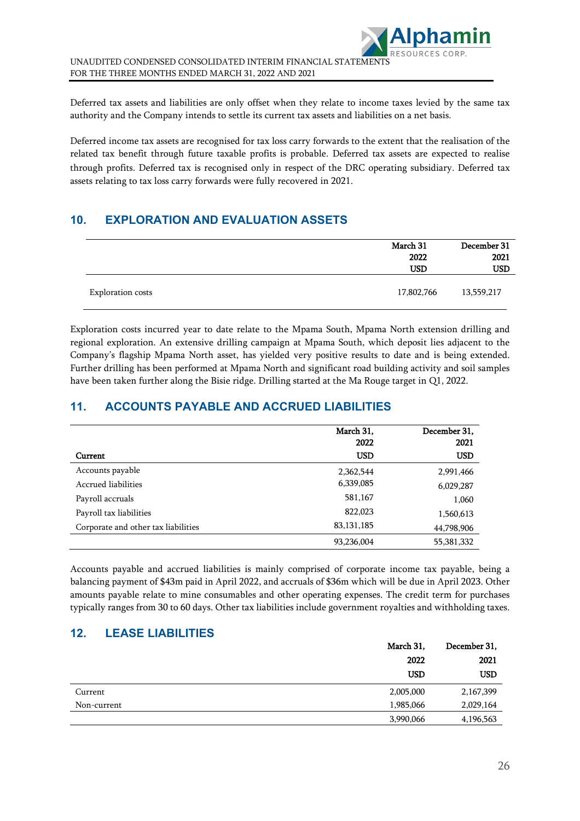Deferred tax assets and liabilities are only offset when they relate to income taxes levied by the same tax authority and the Company intends to settle its current tax assets and liabilities on a net basis.

Deferred income tax assets are recognised for tax loss carry forwards to the extent that the realisation of the related tax benefit through future taxable profits is probable. Deferred tax assets are expected to realise through profits. Deferred tax is recognised only in respect of the DRC operating subsidiary. Deferred tax assets relating to tax loss carry forwards were fully recovered in 2021.

## **10. EXPLORATION AND EVALUATION ASSETS**

|                          | March 31<br>2022<br><b>USD</b> | December 31<br>2021<br><b>USD</b> |
|--------------------------|--------------------------------|-----------------------------------|
| <b>Exploration costs</b> | 17,802,766                     | 13,559,217                        |

Exploration costs incurred year to date relate to the Mpama South, Mpama North extension drilling and regional exploration. An extensive drilling campaign at Mpama South, which deposit lies adjacent to the Company's flagship Mpama North asset, has yielded very positive results to date and is being extended. Further drilling has been performed at Mpama North and significant road building activity and soil samples have been taken further along the Bisie ridge. Drilling started at the Ma Rouge target in Q1, 2022.

## **11. ACCOUNTS PAYABLE AND ACCRUED LIABILITIES**

|                                     | March 31,<br>2022 | December 31,<br>2021 |
|-------------------------------------|-------------------|----------------------|
| Current                             | <b>USD</b>        | <b>USD</b>           |
| Accounts payable                    | 2,362,544         | 2,991,466            |
| Accrued liabilities                 | 6,339,085         | 6,029,287            |
| Payroll accruals                    | 581,167           | 1,060                |
| Payroll tax liabilities             | 822,023           | 1,560,613            |
| Corporate and other tax liabilities | 83, 131, 185      | 44,798,906           |
|                                     | 93,236,004        | 55,381,332           |

Accounts payable and accrued liabilities is mainly comprised of corporate income tax payable, being a balancing payment of \$43m paid in April 2022, and accruals of \$36m which will be due in April 2023. Other amounts payable relate to mine consumables and other operating expenses. The credit term for purchases typically ranges from 30 to 60 days. Other tax liabilities include government royalties and withholding taxes.

## **12. LEASE LIABILITIES**

|             | March 31, | December 31, |
|-------------|-----------|--------------|
|             | 2022      | 2021         |
|             | USD       | <b>USD</b>   |
| Current     | 2,005,000 | 2,167,399    |
| Non-current | 1,985,066 | 2,029,164    |
|             | 3,990,066 | 4,196,563    |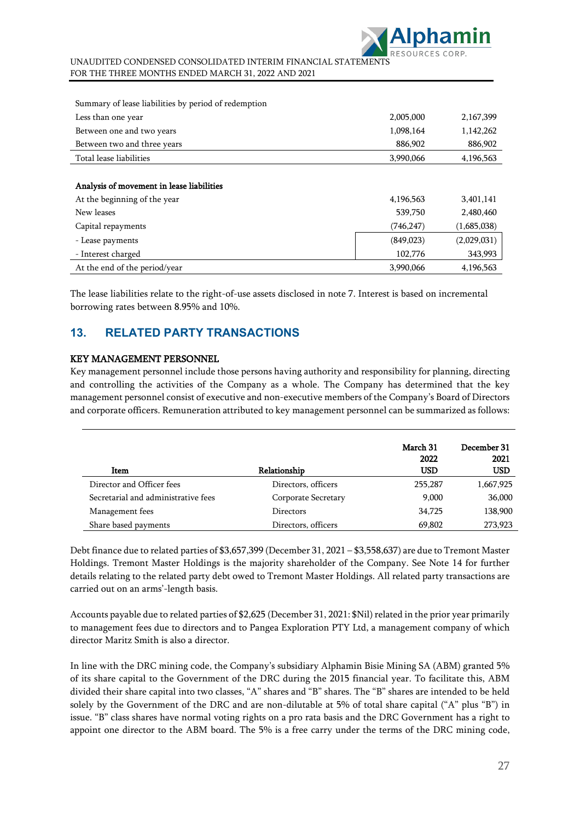

| Summary of lease liabilities by period of redemption |            |             |
|------------------------------------------------------|------------|-------------|
| Less than one year                                   | 2,005,000  | 2,167,399   |
| Between one and two years                            | 1,098,164  | 1,142,262   |
| Between two and three years                          | 886,902    | 886,902     |
| Total lease liabilities                              | 3,990,066  | 4,196,563   |
|                                                      |            |             |
| Analysis of movement in lease liabilities            |            |             |
| At the beginning of the year                         | 4,196,563  | 3,401,141   |
| New leases                                           | 539,750    | 2,480,460   |
| Capital repayments                                   | (746, 247) | (1,685,038) |
| - Lease payments                                     | (849, 023) | (2,029,031) |
| - Interest charged                                   | 102,776    | 343,993     |
| At the end of the period/year                        | 3.990.066  | 4.196.563   |

The lease liabilities relate to the right-of-use assets disclosed in note 7. Interest is based on incremental borrowing rates between 8.95% and 10%.

## **13. RELATED PARTY TRANSACTIONS**

### KEY MANAGEMENT PERSONNEL

Key management personnel include those persons having authority and responsibility for planning, directing and controlling the activities of the Company as a whole. The Company has determined that the key management personnel consist of executive and non-executive members of the Company's Board of Directors and corporate officers. Remuneration attributed to key management personnel can be summarized as follows:

| Item                                | Relationship        | March 31<br>2022<br>USD | December 31<br>2021<br><b>USD</b> |
|-------------------------------------|---------------------|-------------------------|-----------------------------------|
| Director and Officer fees           | Directors, officers | 255,287                 | 1,667,925                         |
| Secretarial and administrative fees | Corporate Secretary | 9,000                   | 36,000                            |
| Management fees                     | Directors           | 34,725                  | 138,900                           |
| Share based payments                | Directors, officers | 69,802                  | 273,923                           |

Debt finance due to related parties of \$3,657,399 (December 31, 2021 – \$3,558,637) are due to Tremont Master Holdings. Tremont Master Holdings is the majority shareholder of the Company. See Note 14 for further details relating to the related party debt owed to Tremont Master Holdings. All related party transactions are carried out on an arms'-length basis.

Accounts payable due to related parties of \$2,625 (December 31, 2021: \$Nil) related in the prior year primarily to management fees due to directors and to Pangea Exploration PTY Ltd, a management company of which director Maritz Smith is also a director.

In line with the DRC mining code, the Company's subsidiary Alphamin Bisie Mining SA (ABM) granted 5% of its share capital to the Government of the DRC during the 2015 financial year. To facilitate this, ABM divided their share capital into two classes, "A" shares and "B" shares. The "B" shares are intended to be held solely by the Government of the DRC and are non-dilutable at 5% of total share capital ("A" plus "B") in issue. "B" class shares have normal voting rights on a pro rata basis and the DRC Government has a right to appoint one director to the ABM board. The 5% is a free carry under the terms of the DRC mining code,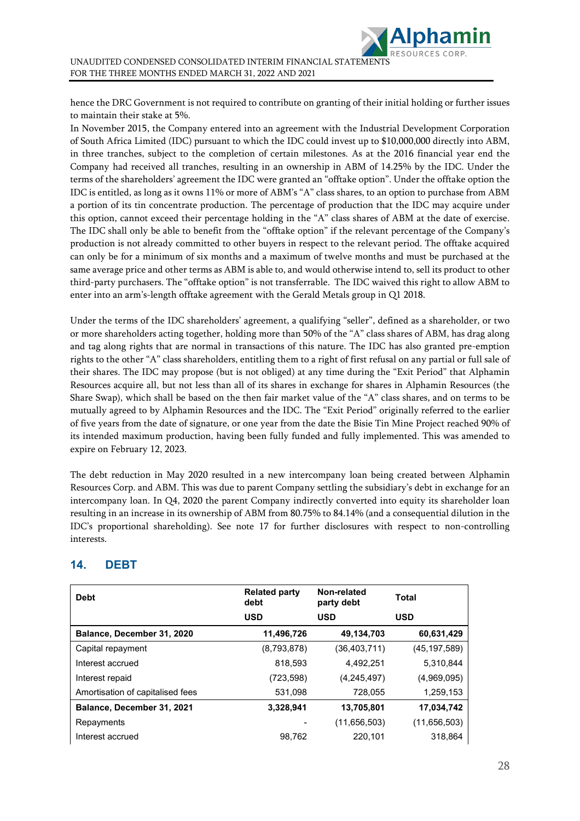hence the DRC Government is not required to contribute on granting of their initial holding or further issues to maintain their stake at 5%.

In November 2015, the Company entered into an agreement with the Industrial Development Corporation of South Africa Limited (IDC) pursuant to which the IDC could invest up to \$10,000,000 directly into ABM, in three tranches, subject to the completion of certain milestones. As at the 2016 financial year end the Company had received all tranches, resulting in an ownership in ABM of 14.25% by the IDC. Under the terms of the shareholders' agreement the IDC were granted an "offtake option". Under the offtake option the IDC is entitled, as long as it owns 11% or more of ABM's "A" class shares, to an option to purchase from ABM a portion of its tin concentrate production. The percentage of production that the IDC may acquire under this option, cannot exceed their percentage holding in the "A" class shares of ABM at the date of exercise. The IDC shall only be able to benefit from the "offtake option" if the relevant percentage of the Company's production is not already committed to other buyers in respect to the relevant period. The offtake acquired can only be for a minimum of six months and a maximum of twelve months and must be purchased at the same average price and other terms as ABM is able to, and would otherwise intend to, sell its product to other third-party purchasers. The "offtake option" is not transferrable. The IDC waived this right to allow ABM to enter into an arm's-length offtake agreement with the Gerald Metals group in Q1 2018.

Under the terms of the IDC shareholders' agreement, a qualifying "seller", defined as a shareholder, or two or more shareholders acting together, holding more than 50% of the "A" class shares of ABM, has drag along and tag along rights that are normal in transactions of this nature. The IDC has also granted pre-emption rights to the other "A" class shareholders, entitling them to a right of first refusal on any partial or full sale of their shares. The IDC may propose (but is not obliged) at any time during the "Exit Period" that Alphamin Resources acquire all, but not less than all of its shares in exchange for shares in Alphamin Resources (the Share Swap), which shall be based on the then fair market value of the "A" class shares, and on terms to be mutually agreed to by Alphamin Resources and the IDC. The "Exit Period" originally referred to the earlier of five years from the date of signature, or one year from the date the Bisie Tin Mine Project reached 90% of its intended maximum production, having been fully funded and fully implemented. This was amended to expire on February 12, 2023.

The debt reduction in May 2020 resulted in a new intercompany loan being created between Alphamin Resources Corp. and ABM. This was due to parent Company settling the subsidiary's debt in exchange for an intercompany loan. In Q4, 2020 the parent Company indirectly converted into equity its shareholder loan resulting in an increase in its ownership of ABM from 80.75% to 84.14% (and a consequential dilution in the IDC's proportional shareholding). See note 17 for further disclosures with respect to non-controlling interests.

| <b>Debt</b>                      | <b>Related party</b><br>debt | Non-related<br>party debt | <b>Total</b>   |
|----------------------------------|------------------------------|---------------------------|----------------|
|                                  | <b>USD</b>                   | <b>USD</b>                | <b>USD</b>     |
| Balance, December 31, 2020       | 11,496,726                   | 49,134,703                | 60,631,429     |
| Capital repayment                | (8,793,878)                  | (36, 403, 711)            | (45, 197, 589) |
| Interest accrued                 | 818,593                      | 4,492,251                 | 5,310,844      |
| Interest repaid                  | (723, 598)                   | (4, 245, 497)             | (4,969,095)    |
| Amortisation of capitalised fees | 531,098                      | 728,055                   | 1,259,153      |
| Balance, December 31, 2021       | 3,328,941                    | 13,705,801                | 17,034,742     |
| Repayments                       |                              | (11,656,503)              | (11,656,503)   |
| Interest accrued                 | 98.762                       | 220.101                   | 318.864        |

## **14. DEBT**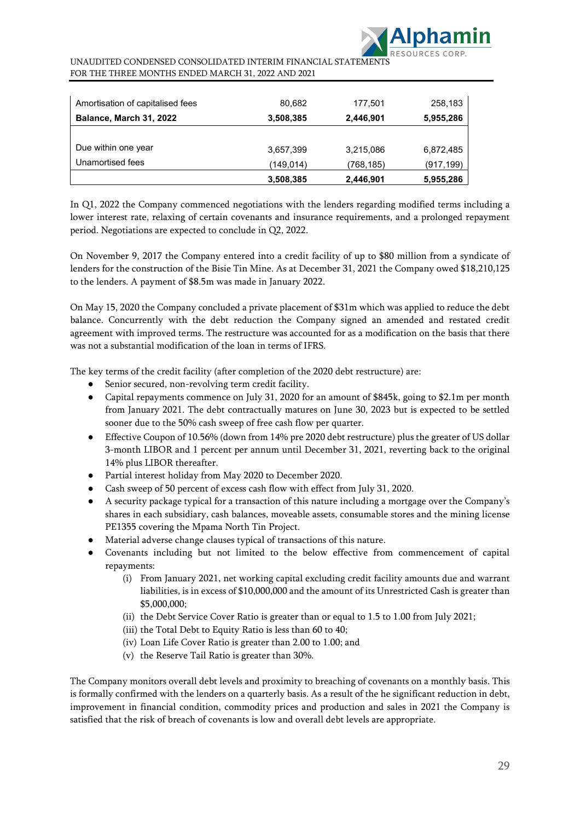

| Amortisation of capitalised fees | 80,682    | 177,501   | 258,183    |
|----------------------------------|-----------|-----------|------------|
| Balance, March 31, 2022          | 3,508,385 | 2,446,901 | 5,955,286  |
|                                  |           |           |            |
| Due within one year              | 3,657,399 | 3,215,086 | 6,872,485  |
| Unamortised fees                 | (149,014) | (768,185) | (917, 199) |
|                                  | 3,508,385 | 2,446,901 | 5,955,286  |

In Q1, 2022 the Company commenced negotiations with the lenders regarding modified terms including a lower interest rate, relaxing of certain covenants and insurance requirements, and a prolonged repayment period. Negotiations are expected to conclude in Q2, 2022.

On November 9, 2017 the Company entered into a credit facility of up to \$80 million from a syndicate of lenders for the construction of the Bisie Tin Mine. As at December 31, 2021 the Company owed \$18,210,125 to the lenders. A payment of \$8.5m was made in January 2022.

On May 15, 2020 the Company concluded a private placement of \$31m which was applied to reduce the debt balance. Concurrently with the debt reduction the Company signed an amended and restated credit agreement with improved terms. The restructure was accounted for as a modification on the basis that there was not a substantial modification of the loan in terms of IFRS.

The key terms of the credit facility (after completion of the 2020 debt restructure) are:

- Senior secured, non-revolving term credit facility.
- Capital repayments commence on July 31, 2020 for an amount of \$845k, going to \$2.1m per month from January 2021. The debt contractually matures on June 30, 2023 but is expected to be settled sooner due to the 50% cash sweep of free cash flow per quarter.
- Effective Coupon of 10.56% (down from 14% pre 2020 debt restructure) plus the greater of US dollar 3-month LIBOR and 1 percent per annum until December 31, 2021, reverting back to the original 14% plus LIBOR thereafter.
- Partial interest holiday from May 2020 to December 2020.
- Cash sweep of 50 percent of excess cash flow with effect from July 31, 2020.
- A security package typical for a transaction of this nature including a mortgage over the Company's shares in each subsidiary, cash balances, moveable assets, consumable stores and the mining license PE1355 covering the Mpama North Tin Project.
- Material adverse change clauses typical of transactions of this nature.
- Covenants including but not limited to the below effective from commencement of capital repayments:
	- (i) From January 2021, net working capital excluding credit facility amounts due and warrant liabilities, is in excess of \$10,000,000 and the amount of its Unrestricted Cash is greater than \$5,000,000;
	- (ii) the Debt Service Cover Ratio is greater than or equal to 1.5 to 1.00 from July 2021;
	- (iii) the Total Debt to Equity Ratio is less than 60 to 40;
	- (iv) Loan Life Cover Ratio is greater than 2.00 to 1.00; and
	- (v) the Reserve Tail Ratio is greater than 30%.

The Company monitors overall debt levels and proximity to breaching of covenants on a monthly basis. This is formally confirmed with the lenders on a quarterly basis. As a result of the he significant reduction in debt, improvement in financial condition, commodity prices and production and sales in 2021 the Company is satisfied that the risk of breach of covenants is low and overall debt levels are appropriate.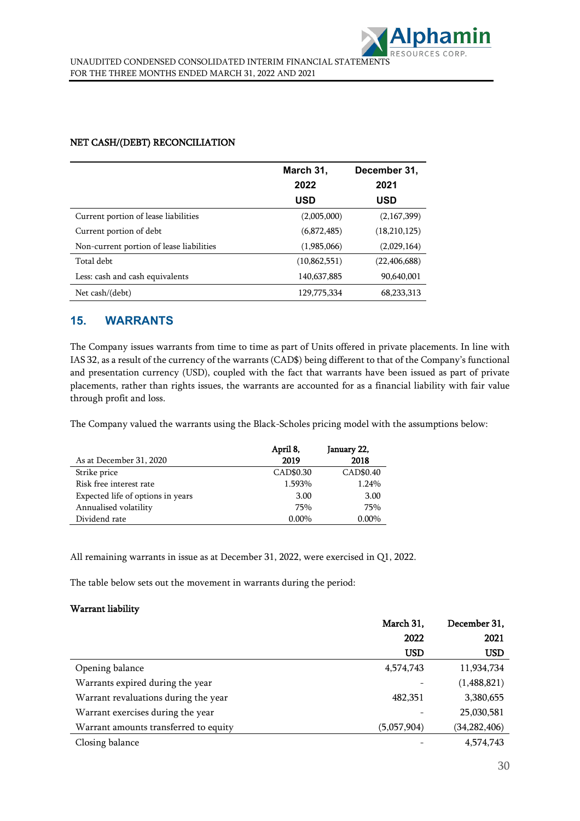|                                          | March 31,      | December 31,   |
|------------------------------------------|----------------|----------------|
|                                          | 2022           | 2021           |
|                                          | <b>USD</b>     | USD            |
| Current portion of lease liabilities     | (2,005,000)    | (2,167,399)    |
| Current portion of debt                  | (6,872,485)    | (18,210,125)   |
| Non-current portion of lease liabilities | (1,985,066)    | (2,029,164)    |
| Total debt                               | (10, 862, 551) | (22, 406, 688) |
| Less: cash and cash equivalents          | 140,637,885    | 90,640,001     |
| Net cash/(debt)                          | 129,775,334    | 68,233,313     |

## NET CASH/(DEBT) RECONCILIATION

## **15. WARRANTS**

The Company issues warrants from time to time as part of Units offered in private placements. In line with IAS 32, as a result of the currency of the warrants (CAD\$) being different to that of the Company's functional and presentation currency (USD), coupled with the fact that warrants have been issued as part of private placements, rather than rights issues, the warrants are accounted for as a financial liability with fair value through profit and loss.

The Company valued the warrants using the Black-Scholes pricing model with the assumptions below:

|                                   | April 8,  | January 22, |
|-----------------------------------|-----------|-------------|
| As at December 31, 2020           | 2019      | 2018        |
| Strike price                      | CAD\$0.30 | CAD\$0.40   |
| Risk free interest rate           | 1.593%    | 1.24%       |
| Expected life of options in years | 3.00      | 3.00        |
| Annualised volatility             | 75%       | 75%         |
| Dividend rate                     | $0.00\%$  | $0.00\%$    |

All remaining warrants in issue as at December 31, 2022, were exercised in Q1, 2022.

The table below sets out the movement in warrants during the period:

### Warrant liability

|                                       | March 31,   | December 31,   |
|---------------------------------------|-------------|----------------|
|                                       | 2022        | 2021           |
|                                       | <b>USD</b>  | <b>USD</b>     |
| Opening balance                       | 4,574,743   | 11,934,734     |
| Warrants expired during the year      |             | (1,488,821)    |
| Warrant revaluations during the year  | 482,351     | 3,380,655      |
| Warrant exercises during the year     |             | 25,030,581     |
| Warrant amounts transferred to equity | (5,057,904) | (34, 282, 406) |
| Closing balance                       |             | 4,574,743      |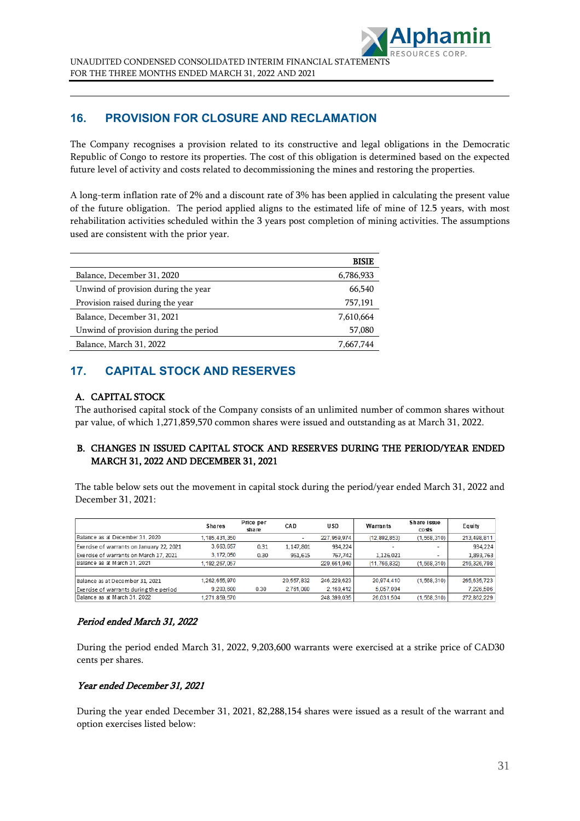

## **16. PROVISION FOR CLOSURE AND RECLAMATION**

The Company recognises a provision related to its constructive and legal obligations in the Democratic Republic of Congo to restore its properties. The cost of this obligation is determined based on the expected future level of activity and costs related to decommissioning the mines and restoring the properties.

A long-term inflation rate of 2% and a discount rate of 3% has been applied in calculating the present value of the future obligation. The period applied aligns to the estimated life of mine of 12.5 years, with most rehabilitation activities scheduled within the 3 years post completion of mining activities. The assumptions used are consistent with the prior year.

| BISIE     |
|-----------|
| 6,786,933 |
| 66,540    |
| 757,191   |
| 7,610,664 |
| 57,080    |
| 7,667,744 |
|           |

## **17. CAPITAL STOCK AND RESERVES**

## A. CAPITAL STOCK

The authorised capital stock of the Company consists of an unlimited number of common shares without par value, of which 1,271,859,570 common shares were issued and outstanding as at March 31, 2022.

## B. CHANGES IN ISSUED CAPITAL STOCK AND RESERVES DURING THE PERIOD/YEAR ENDED MARCH 31, 2022 AND DECEMBER 31, 2021

The table below sets out the movement in capital stock during the period/year ended March 31, 2022 and December 31, 2021:

|                                          | <b>Shares</b>    | Price per<br>share | CAD        | U SD          | Warrants     | Share issue<br>costs | Equity      |
|------------------------------------------|------------------|--------------------|------------|---------------|--------------|----------------------|-------------|
| Balance as at December 31, 2020          | 1, 185, 431, 350 |                    | ۰          | 227.959.974   | (12.892.853) | (1,568,310)          | 213,498,811 |
| Exercise of warrants on January 22, 2021 | 3,663,657        | 0.31               | 1,147,801  | 934,224       |              | ۰                    | 934,224     |
| Exercise of warrants on March 17, 2021   | 3.172.050        | 0.30               | 951.615    | 767.742       | 1.126.021    |                      | 1,893,763   |
| Balance as at March 31, 2021             | 1.192.267.057    |                    |            | 229.661.940   | (11.766.832) | (1.568.310)          | 216.326.798 |
|                                          |                  |                    |            |               |              |                      |             |
| Balance as at December 31, 2021          | 1.262.655.970    |                    | 20.557.832 | 246.229.623   | 20.974.410   | (1.568.310)          | 265.635.723 |
| Exercise of warrants during the period   | 9.203.600        | 0.30               | 2,761,080  | 2, 169, 412   | 5.057.094    |                      | 7,226,506   |
| Balance as at March 31, 2022             | 1.271.859.570    |                    |            | 248, 399, 035 | 26.031.504   | (1, 568, 310)        | 272,862,229 |

### Period ended March 31, 2022

During the period ended March 31, 2022, 9,203,600 warrants were exercised at a strike price of CAD30 cents per shares.

### Year ended December 31, 2021

During the year ended December 31, 2021, 82,288,154 shares were issued as a result of the warrant and option exercises listed below: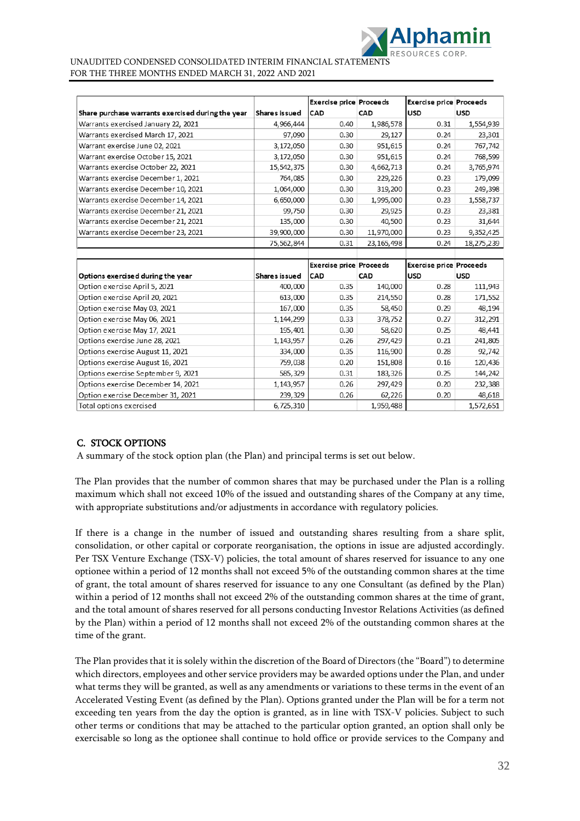

|                                                   |               | <b>Exercise price Proceeds</b> |              | <b>Exercise price Proceeds</b> |            |
|---------------------------------------------------|---------------|--------------------------------|--------------|--------------------------------|------------|
| Share purchase warrants exercised during the year | Shares issued | CAD                            | CAD          | <b>USD</b>                     | <b>USD</b> |
| Warrants exercised January 22, 2021               | 4,966,444     | 0.40                           | 1,986,578    | 0.31                           | 1,554,939  |
| Warrants exercised March 17, 2021                 | 97,090        | 0.30                           | 29,127       | 0.24                           | 23,301     |
| Warrant exercise June 02, 2021                    | 3,172,050     | 0.30                           | 951,615      | 0.24                           | 767,742    |
| Warrant exercise October 15, 2021                 | 3,172,050     | 0.30                           | 951,615      | 0.24                           | 768,599    |
| Warrants exercise October 22, 2021                | 15,542,375    | 0.30                           | 4,662,713    | 0.24                           | 3,765,974  |
| Warrants exercise December 1, 2021                | 764,085       | 0.30                           | 229,226      | 0.23                           | 179,099    |
| Warrants exercise December 10, 2021               | 1,064,000     | 0.30                           | 319,200      | 0.23                           | 249,398    |
| Warrants exercise December 14, 2021               | 6,650,000     | 0.30                           | 1,995,000    | 0.23                           | 1,558,737  |
| Warrants exercise December 21, 2021               | 99,750        | 0.30                           | 29,925       | 0.23                           | 23,381     |
| Warrants exercise December 21, 2021               | 135,000       | 0.30                           | 40,500       | 0.23                           | 31,644     |
| Warrants exercise December 23, 2021               | 39,900,000    | 0.30                           | 11,970,000   | 0.23                           | 9,352,425  |
|                                                   | 75,562,844    | 0.31                           | 23, 165, 498 | 0.24                           | 18,275,239 |
|                                                   |               |                                |              |                                |            |
|                                                   |               | <b>Exercise price Proceeds</b> |              | <b>Exercise price Proceeds</b> |            |
| Options exercised during the year                 | Shares issued | CAD                            | CAD          | <b>USD</b>                     | <b>USD</b> |
| Option exercise April 5, 2021                     | 400,000       | 0.35                           | 140,000      | 0.28                           | 111,943    |
| Option exercise April 20, 2021                    | 613,000       | 0.35                           | 214,550      | 0.28                           | 171,552    |
| Option exercise May 03, 2021                      | 167,000       | 0.35                           | 58,450       | 0.29                           | 48,194     |
| Option exercise May 06, 2021                      | 1,144,299     | 0.33                           | 378,752      | 0.27                           | 312,291    |
| Option exercise May 17, 2021                      | 195,401       | 0.30                           | 58,620       | 0.25                           | 48,441     |
| Options exercise June 28, 2021                    |               |                                |              |                                |            |
|                                                   | 1,143,957     | 0.26                           | 297,429      | 0.21                           | 241,805    |
| Options exercise August 11, 2021                  | 334,000       | 0.35                           | 116,900      | 0.28                           | 92,742     |
| Options exercise August 16, 2021                  | 759,038       | 0.20                           | 151,808      | 0.16                           | 120,436    |
| Options exercise September 9, 2021                | 585,329       | 0.31                           | 183,326      | 0.25                           | 144,242    |
| Options exercise December 14, 2021                | 1,143,957     | 0.26                           | 297,429      | 0.20                           | 232,388    |
| Option exercise December 31, 2021                 | 239,329       | 0.26                           | 62,226       | 0.20                           | 48,618     |

## C. STOCK OPTIONS

A summary of the stock option plan (the Plan) and principal terms is set out below.

The Plan provides that the number of common shares that may be purchased under the Plan is a rolling maximum which shall not exceed 10% of the issued and outstanding shares of the Company at any time, with appropriate substitutions and/or adjustments in accordance with regulatory policies.

If there is a change in the number of issued and outstanding shares resulting from a share split, consolidation, or other capital or corporate reorganisation, the options in issue are adjusted accordingly. Per TSX Venture Exchange (TSX-V) policies, the total amount of shares reserved for issuance to any one optionee within a period of 12 months shall not exceed 5% of the outstanding common shares at the time of grant, the total amount of shares reserved for issuance to any one Consultant (as defined by the Plan) within a period of 12 months shall not exceed 2% of the outstanding common shares at the time of grant, and the total amount of shares reserved for all persons conducting Investor Relations Activities (as defined by the Plan) within a period of 12 months shall not exceed 2% of the outstanding common shares at the time of the grant.

The Plan provides that it is solely within the discretion of the Board of Directors (the "Board") to determine which directors, employees and other service providers may be awarded options under the Plan, and under what terms they will be granted, as well as any amendments or variations to these terms in the event of an Accelerated Vesting Event (as defined by the Plan). Options granted under the Plan will be for a term not exceeding ten years from the day the option is granted, as in line with TSX-V policies. Subject to such other terms or conditions that may be attached to the particular option granted, an option shall only be exercisable so long as the optionee shall continue to hold office or provide services to the Company and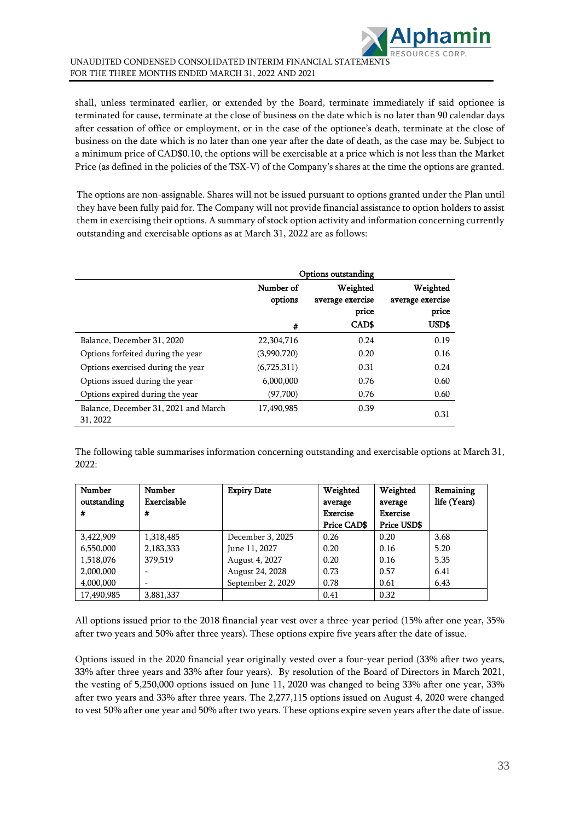

shall, unless terminated earlier, or extended by the Board, terminate immediately if said optionee is terminated for cause, terminate at the close of business on the date which is no later than 90 calendar days after cessation of office or employment, or in the case of the optionee's death, terminate at the close of business on the date which is no later than one year after the date of death, as the case may be. Subject to a minimum price of CAD\$0.10, the options will be exercisable at a price which is not less than the Market Price (as defined in the policies of the TSX-V) of the Company's shares at the time the options are granted.

The options are non-assignable. Shares will not be issued pursuant to options granted under the Plan until they have been fully paid for. The Company will not provide financial assistance to option holders to assist them in exercising their options. A summary of stock option activity and information concerning currently outstanding and exercisable options as at March 31, 2022 are as follows:

|                                                  | Options outstanding  |                                       |                                       |
|--------------------------------------------------|----------------------|---------------------------------------|---------------------------------------|
|                                                  | Number of<br>options | Weighted<br>average exercise<br>price | Weighted<br>average exercise<br>price |
|                                                  | #                    | <b>CADS</b>                           | USD\$                                 |
| Balance, December 31, 2020                       | 22,304,716           | 0.24                                  | 0.19                                  |
| Options forfeited during the year                | (3,990,720)          | 0.20                                  | 0.16                                  |
| Options exercised during the year                | (6,725,311)          | 0.31                                  | 0.24                                  |
| Options issued during the year                   | 6,000,000            | 0.76                                  | 0.60                                  |
| Options expired during the year                  | (97,700)             | 0.76                                  | 0.60                                  |
| Balance, December 31, 2021 and March<br>31, 2022 | 17.490.985           | 0.39                                  | 0.31                                  |

The following table summarises information concerning outstanding and exercisable options at March 31, 2022:

| Number      | <b>Number</b>            | <b>Expiry Date</b> | Weighted        | Weighted        | Remaining    |
|-------------|--------------------------|--------------------|-----------------|-----------------|--------------|
| outstanding | Exercisable              |                    | average         | average         | life (Years) |
| #           | #                        |                    | <b>Exercise</b> | <b>Exercise</b> |              |
|             |                          |                    | Price CAD\$     | Price USD\$     |              |
| 3,422,909   | 1,318,485                | December 3, 2025   | 0.26            | 0.20            | 3.68         |
| 6,550,000   | 2,183,333                | June 11, 2027      | 0.20            | 0.16            | 5.20         |
| 1,518,076   | 379,519                  | August 4, 2027     | 0.20            | 0.16            | 5.35         |
| 2,000,000   |                          | August 24, 2028    | 0.73            | 0.57            | 6.41         |
| 4,000,000   | $\overline{\phantom{a}}$ | September 2, 2029  | 0.78            | 0.61            | 6.43         |
| 17,490,985  | 3,881,337                |                    | 0.41            | 0.32            |              |

All options issued prior to the 2018 financial year vest over a three-year period (15% after one year, 35% after two years and 50% after three years). These options expire five years after the date of issue.

Options issued in the 2020 financial year originally vested over a four-year period (33% after two years, 33% after three years and 33% after four years). By resolution of the Board of Directors in March 2021, the vesting of 5,250,000 options issued on June 11, 2020 was changed to being 33% after one year, 33% after two years and 33% after three years. The 2,277,115 options issued on August 4, 2020 were changed to vest 50% after one year and 50% after two years. These options expire seven years after the date of issue.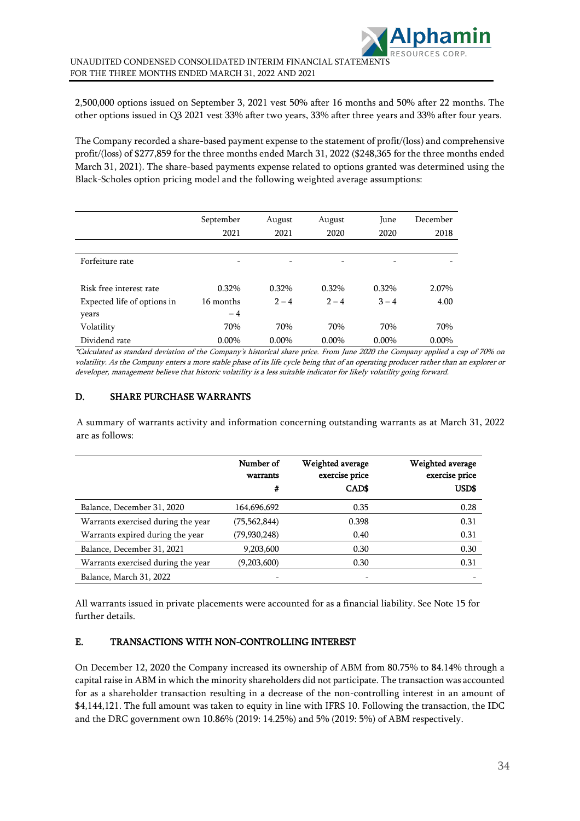2,500,000 options issued on September 3, 2021 vest 50% after 16 months and 50% after 22 months. The other options issued in Q3 2021 vest 33% after two years, 33% after three years and 33% after four years.

The Company recorded a share-based payment expense to the statement of profit/(loss) and comprehensive profit/(loss) of \$277,859 for the three months ended March 31, 2022 (\$248,365 for the three months ended March 31, 2021). The share-based payments expense related to options granted was determined using the Black-Scholes option pricing model and the following weighted average assumptions:

|                             | September | August   | August   | June     | December |
|-----------------------------|-----------|----------|----------|----------|----------|
|                             | 2021      | 2021     | 2020     | 2020     | 2018     |
|                             |           |          |          |          |          |
| Forfeiture rate             | -         | -        | -        | -        |          |
|                             |           |          |          |          |          |
| Risk free interest rate     | 0.32%     | $0.32\%$ | $0.32\%$ | 0.32%    | 2.07%    |
| Expected life of options in | 16 months | $2 - 4$  | $2 - 4$  | $3 - 4$  | 4.00     |
| years                       | $-4$      |          |          |          |          |
| Volatility                  | 70%       | 70%      | 70%      | 70%      | 70%      |
| Dividend rate               | $0.00\%$  | $0.00\%$ | $0.00\%$ | $0.00\%$ | $0.00\%$ |

\*Calculated as standard deviation of the Company's historical share price. From June 2020 the Company applied a cap of 70% on volatility. As the Company enters a more stable phase of its life cycle being that of an operating producer rather than an explorer or developer, management believe that historic volatility is a less suitable indicator for likely volatility going forward.

## D. SHARE PURCHASE WARRANTS

A summary of warrants activity and information concerning outstanding warrants as at March 31, 2022 are as follows:

|                                    | Number of<br>warrants<br># | Weighted average<br>exercise price<br>CAD\$ | Weighted average<br>exercise price<br>USD\$ |
|------------------------------------|----------------------------|---------------------------------------------|---------------------------------------------|
| Balance, December 31, 2020         | 164,696,692                | 0.35                                        | 0.28                                        |
| Warrants exercised during the year | (75, 562, 844)             | 0.398                                       | 0.31                                        |
| Warrants expired during the year   | (79,930,248)               | 0.40                                        | 0.31                                        |
| Balance, December 31, 2021         | 9,203,600                  | 0.30                                        | 0.30                                        |
| Warrants exercised during the year | (9,203,600)                | 0.30                                        | 0.31                                        |
| Balance, March 31, 2022            |                            |                                             |                                             |

All warrants issued in private placements were accounted for as a financial liability. See Note 15 for further details.

## E. TRANSACTIONS WITH NON-CONTROLLING INTEREST

On December 12, 2020 the Company increased its ownership of ABM from 80.75% to 84.14% through a capital raise in ABM in which the minority shareholders did not participate. The transaction was accounted for as a shareholder transaction resulting in a decrease of the non-controlling interest in an amount of \$4,144,121. The full amount was taken to equity in line with IFRS 10. Following the transaction, the IDC and the DRC government own 10.86% (2019: 14.25%) and 5% (2019: 5%) of ABM respectively.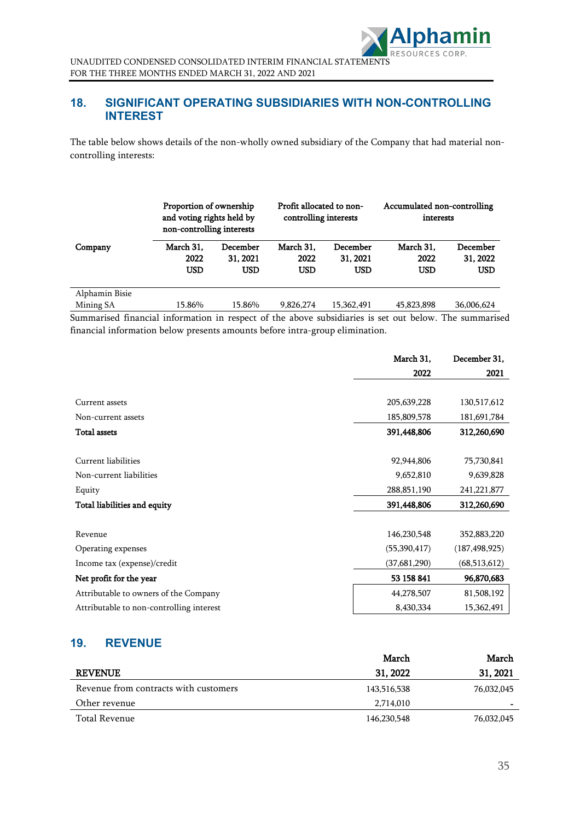

## **18. SIGNIFICANT OPERATING SUBSIDIARIES WITH NON-CONTROLLING INTEREST**

The table below shows details of the non-wholly owned subsidiary of the Company that had material noncontrolling interests:

|                | Proportion of ownership<br>and voting rights held by<br>non-controlling interests |                                    | Profit allocated to non-<br>controlling interests |                             | Accumulated non-controlling<br>interests |                                    |
|----------------|-----------------------------------------------------------------------------------|------------------------------------|---------------------------------------------------|-----------------------------|------------------------------------------|------------------------------------|
| Company        | March 31.<br>2022<br><b>USD</b>                                                   | December<br>31, 2021<br><b>USD</b> | March 31.<br>2022<br>USD                          | December<br>31, 2021<br>USD | March 31.<br>2022<br>USD                 | December<br>31, 2022<br><b>USD</b> |
| Alphamin Bisie |                                                                                   |                                    |                                                   |                             |                                          |                                    |
| Mining SA      | 15.86%                                                                            | 15.86%                             | 9,826,274                                         | 15,362,491                  | 45,823,898                               | 36,006,624                         |

Summarised financial information in respect of the above subsidiaries is set out below. The summarised financial information below presents amounts before intra-group elimination.

|                                          | March 31,      | December 31,    |
|------------------------------------------|----------------|-----------------|
|                                          | 2022           | 2021            |
|                                          |                |                 |
| Current assets                           | 205,639,228    | 130,517,612     |
| Non-current assets                       | 185,809,578    | 181,691,784     |
| <b>Total assets</b>                      | 391,448,806    | 312,260,690     |
|                                          |                |                 |
| Current liabilities                      | 92,944,806     | 75,730,841      |
| Non-current liabilities                  | 9,652,810      | 9,639,828       |
| Equity                                   | 288,851,190    | 241,221,877     |
| Total liabilities and equity             | 391,448,806    | 312,260,690     |
|                                          |                |                 |
| Revenue                                  | 146,230,548    | 352,883,220     |
| Operating expenses                       | (55, 390, 417) | (187, 498, 925) |
| Income tax (expense)/credit              | (37, 681, 290) | (68,513,612)    |
| Net profit for the year                  | 53 158 841     | 96,870,683      |
| Attributable to owners of the Company    | 44,278,507     | 81,508,192      |
| Attributable to non-controlling interest | 8,430,334      | 15,362,491      |

## **19. REVENUE**

|                                       | March       | March      |
|---------------------------------------|-------------|------------|
| <b>REVENUE</b>                        | 31, 2022    | 31, 2021   |
| Revenue from contracts with customers | 143,516,538 | 76,032,045 |
| Other revenue                         | 2,714,010   |            |
| Total Revenue                         | 146,230,548 | 76,032,045 |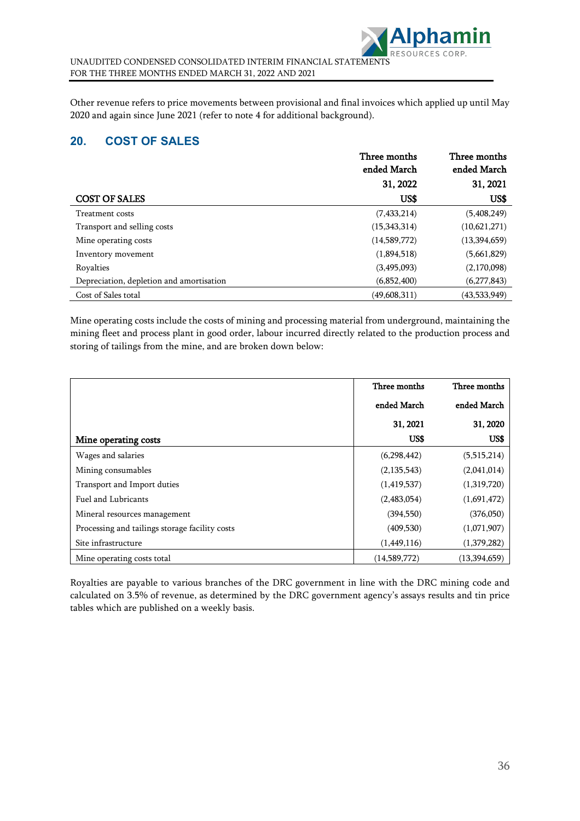

Other revenue refers to price movements between provisional and final invoices which applied up until May 2020 and again since June 2021 (refer to note 4 for additional background).

## **20. COST OF SALES**

|                                          | Three months<br>ended March | Three months<br>ended March |
|------------------------------------------|-----------------------------|-----------------------------|
|                                          | 31, 2022                    | 31, 2021                    |
| <b>COST OF SALES</b>                     | US\$                        | US\$                        |
| Treatment costs                          | (7,433,214)                 | (5,408,249)                 |
| Transport and selling costs              | (15,343,314)                | (10,621,271)                |
| Mine operating costs                     | (14,589,772)                | (13,394,659)                |
| Inventory movement                       | (1,894,518)                 | (5,661,829)                 |
| Royalties                                | (3,495,093)                 | (2,170,098)                 |
| Depreciation, depletion and amortisation | (6,852,400)                 | (6,277,843)                 |
| Cost of Sales total                      | (49,608,311)                | (43,533,949)                |

Mine operating costs include the costs of mining and processing material from underground, maintaining the mining fleet and process plant in good order, labour incurred directly related to the production process and storing of tailings from the mine, and are broken down below:

|                                                | Three months  | Three months |
|------------------------------------------------|---------------|--------------|
|                                                | ended March   | ended March  |
|                                                | 31, 2021      | 31, 2020     |
| Mine operating costs                           | US\$          | US\$         |
| Wages and salaries                             | (6,298,442)   | (5,515,214)  |
| Mining consumables                             | (2, 135, 543) | (2,041,014)  |
| Transport and Import duties                    | (1,419,537)   | (1,319,720)  |
| Fuel and Lubricants                            | (2,483,054)   | (1,691,472)  |
| Mineral resources management                   | (394, 550)    | (376,050)    |
| Processing and tailings storage facility costs | (409, 530)    | (1,071,907)  |
| Site infrastructure                            | (1,449,116)   | (1,379,282)  |
| Mine operating costs total                     | (14,589,772)  | (13,394,659) |

Royalties are payable to various branches of the DRC government in line with the DRC mining code and calculated on 3.5% of revenue, as determined by the DRC government agency's assays results and tin price tables which are published on a weekly basis.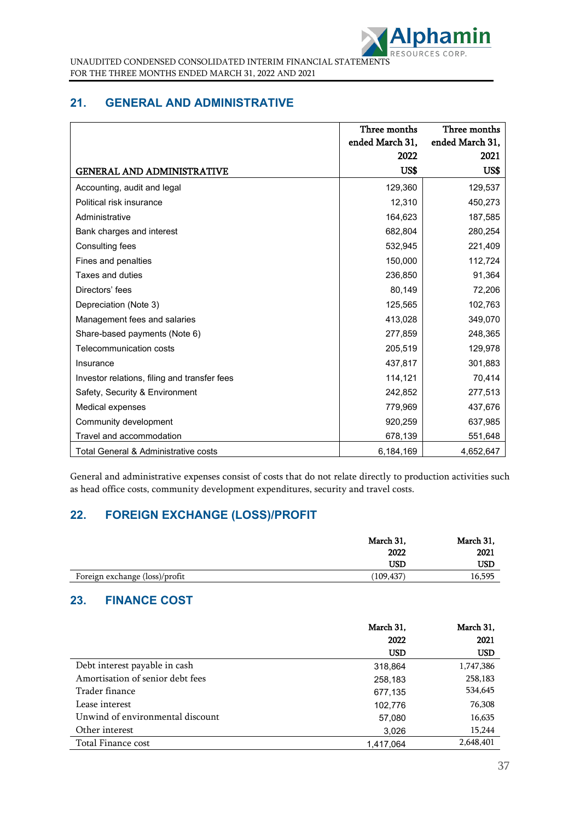

## **21. GENERAL AND ADMINISTRATIVE**

|                                              | Three months    | Three months    |
|----------------------------------------------|-----------------|-----------------|
|                                              | ended March 31, | ended March 31, |
|                                              | 2022            | 2021            |
| <b>GENERAL AND ADMINISTRATIVE</b>            | US\$            | US\$            |
| Accounting, audit and legal                  | 129,360         | 129,537         |
| Political risk insurance                     | 12,310          | 450,273         |
| Administrative                               | 164,623         | 187,585         |
| Bank charges and interest                    | 682,804         | 280,254         |
| Consulting fees                              | 532,945         | 221,409         |
| Fines and penalties                          | 150,000         | 112,724         |
| Taxes and duties                             | 236,850         | 91,364          |
| Directors' fees                              | 80,149          | 72,206          |
| Depreciation (Note 3)                        | 125,565         | 102,763         |
| Management fees and salaries                 | 413,028         | 349,070         |
| Share-based payments (Note 6)                | 277,859         | 248,365         |
| Telecommunication costs                      | 205,519         | 129,978         |
| Insurance                                    | 437,817         | 301,883         |
| Investor relations, filing and transfer fees | 114,121         | 70,414          |
| Safety, Security & Environment               | 242,852         | 277,513         |
| Medical expenses                             | 779,969         | 437,676         |
| Community development                        | 920,259         | 637,985         |
| Travel and accommodation                     | 678,139         | 551,648         |
| Total General & Administrative costs         | 6,184,169       | 4,652,647       |

General and administrative expenses consist of costs that do not relate directly to production activities such as head office costs, community development expenditures, security and travel costs.

## **22. FOREIGN EXCHANGE (LOSS)/PROFIT**

|                                | March 31,  | March 31, |
|--------------------------------|------------|-----------|
|                                | 2022       | 2021      |
|                                | USD        | USD       |
| Foreign exchange (loss)/profit | (109, 437) | 16,595    |

## **23. FINANCE COST**

|                                  | March 31,  | March 31,  |
|----------------------------------|------------|------------|
|                                  | 2022       | 2021       |
|                                  | <b>USD</b> | <b>USD</b> |
| Debt interest payable in cash    | 318,864    | 1,747,386  |
| Amortisation of senior debt fees | 258,183    | 258,183    |
| Trader finance                   | 677,135    | 534,645    |
| Lease interest                   | 102,776    | 76,308     |
| Unwind of environmental discount | 57,080     | 16,635     |
| Other interest                   | 3,026      | 15,244     |
| Total Finance cost               | 1.417.064  | 2,648,401  |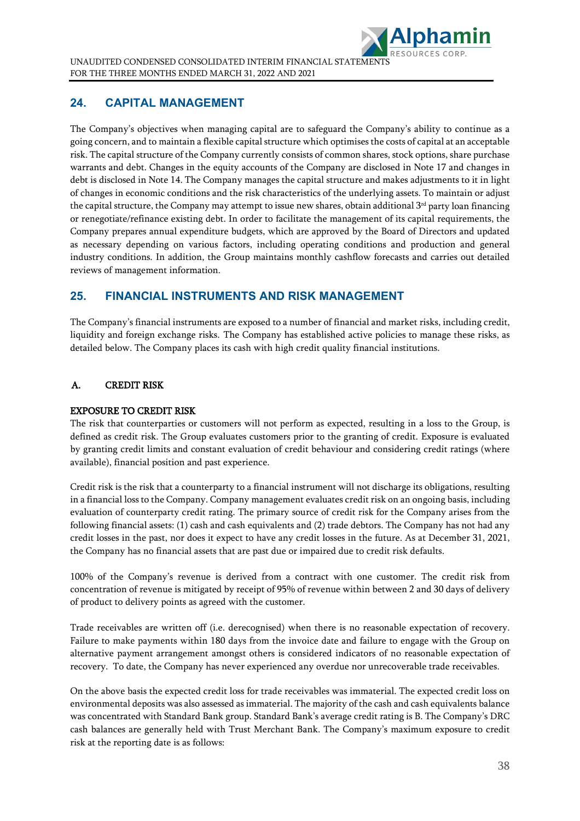

## **24. CAPITAL MANAGEMENT**

The Company's objectives when managing capital are to safeguard the Company's ability to continue as a going concern, and to maintain a flexible capital structure which optimises the costs of capital at an acceptable risk. The capital structure of the Company currently consists of common shares, stock options, share purchase warrants and debt. Changes in the equity accounts of the Company are disclosed in Note 17 and changes in debt is disclosed in Note 14. The Company manages the capital structure and makes adjustments to it in light of changes in economic conditions and the risk characteristics of the underlying assets. To maintain or adjust the capital structure, the Company may attempt to issue new shares, obtain additional 3rd party loan financing or renegotiate/refinance existing debt. In order to facilitate the management of its capital requirements, the Company prepares annual expenditure budgets, which are approved by the Board of Directors and updated as necessary depending on various factors, including operating conditions and production and general industry conditions. In addition, the Group maintains monthly cashflow forecasts and carries out detailed reviews of management information.

## **25. FINANCIAL INSTRUMENTS AND RISK MANAGEMENT**

The Company's financial instruments are exposed to a number of financial and market risks, including credit, liquidity and foreign exchange risks. The Company has established active policies to manage these risks, as detailed below. The Company places its cash with high credit quality financial institutions.

## A. CREDIT RISK

### EXPOSURE TO CREDIT RISK

The risk that counterparties or customers will not perform as expected, resulting in a loss to the Group, is defined as credit risk. The Group evaluates customers prior to the granting of credit. Exposure is evaluated by granting credit limits and constant evaluation of credit behaviour and considering credit ratings (where available), financial position and past experience.

Credit risk is the risk that a counterparty to a financial instrument will not discharge its obligations, resulting in a financial loss to the Company. Company management evaluates credit risk on an ongoing basis, including evaluation of counterparty credit rating. The primary source of credit risk for the Company arises from the following financial assets: (1) cash and cash equivalents and (2) trade debtors. The Company has not had any credit losses in the past, nor does it expect to have any credit losses in the future. As at December 31, 2021, the Company has no financial assets that are past due or impaired due to credit risk defaults.

100% of the Company's revenue is derived from a contract with one customer. The credit risk from concentration of revenue is mitigated by receipt of 95% of revenue within between 2 and 30 days of delivery of product to delivery points as agreed with the customer.

Trade receivables are written off (i.e. derecognised) when there is no reasonable expectation of recovery. Failure to make payments within 180 days from the invoice date and failure to engage with the Group on alternative payment arrangement amongst others is considered indicators of no reasonable expectation of recovery. To date, the Company has never experienced any overdue nor unrecoverable trade receivables.

On the above basis the expected credit loss for trade receivables was immaterial. The expected credit loss on environmental deposits was also assessed as immaterial. The majority of the cash and cash equivalents balance was concentrated with Standard Bank group. Standard Bank's average credit rating is B. The Company's DRC cash balances are generally held with Trust Merchant Bank. The Company's maximum exposure to credit risk at the reporting date is as follows: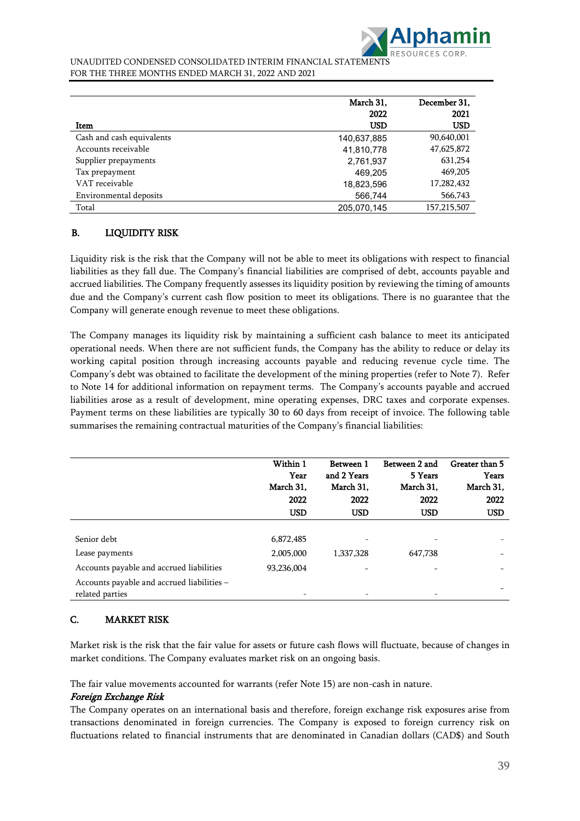

|                           | March 31.<br>2022 | December 31.<br>2021 |
|---------------------------|-------------------|----------------------|
| Item                      | <b>USD</b>        | USD                  |
| Cash and cash equivalents | 140,637,885       | 90,640,001           |
| Accounts receivable       | 41,810,778        | 47,625,872           |
| Supplier prepayments      | 2,761,937         | 631,254              |
| Tax prepayment            | 469,205           | 469,205              |
| VAT receivable            | 18,823,596        | 17,282,432           |
| Environmental deposits    | 566,744           | 566,743              |
| Total                     | 205,070,145       | 157,215,507          |

## B. LIQUIDITY RISK

Liquidity risk is the risk that the Company will not be able to meet its obligations with respect to financial liabilities as they fall due. The Company's financial liabilities are comprised of debt, accounts payable and accrued liabilities. The Company frequently assesses its liquidity position by reviewing the timing of amounts due and the Company's current cash flow position to meet its obligations. There is no guarantee that the Company will generate enough revenue to meet these obligations.

The Company manages its liquidity risk by maintaining a sufficient cash balance to meet its anticipated operational needs. When there are not sufficient funds, the Company has the ability to reduce or delay its working capital position through increasing accounts payable and reducing revenue cycle time. The Company's debt was obtained to facilitate the development of the mining properties (refer to Note 7). Refer to Note 14 for additional information on repayment terms. The Company's accounts payable and accrued liabilities arose as a result of development, mine operating expenses, DRC taxes and corporate expenses. Payment terms on these liabilities are typically 30 to 60 days from receipt of invoice. The following table summarises the remaining contractual maturities of the Company's financial liabilities:

|                                                                                        | Within 1<br>Year<br>March 31,<br>2022<br><b>USD</b> | Between 1<br>and 2 Years<br>March 31.<br>2022<br><b>USD</b> | Between 2 and<br>5 Years<br>March 31,<br>2022<br><b>USD</b> | Greater than 5<br>Years<br>March 31,<br>2022<br><b>USD</b> |
|----------------------------------------------------------------------------------------|-----------------------------------------------------|-------------------------------------------------------------|-------------------------------------------------------------|------------------------------------------------------------|
| Senior debt<br>Lease payments                                                          | 6,872,485<br>2,005,000                              | $\qquad \qquad -$<br>1,337,328                              | 647,738                                                     | $\qquad \qquad$                                            |
| Accounts payable and accrued liabilities<br>Accounts payable and accrued liabilities - | 93,236,004                                          |                                                             |                                                             |                                                            |
| related parties                                                                        |                                                     |                                                             |                                                             |                                                            |

### C. MARKET RISK

Market risk is the risk that the fair value for assets or future cash flows will fluctuate, because of changes in market conditions. The Company evaluates market risk on an ongoing basis.

The fair value movements accounted for warrants (refer Note 15) are non-cash in nature.

### Foreign Exchange Risk

The Company operates on an international basis and therefore, foreign exchange risk exposures arise from transactions denominated in foreign currencies. The Company is exposed to foreign currency risk on fluctuations related to financial instruments that are denominated in Canadian dollars (CAD\$) and South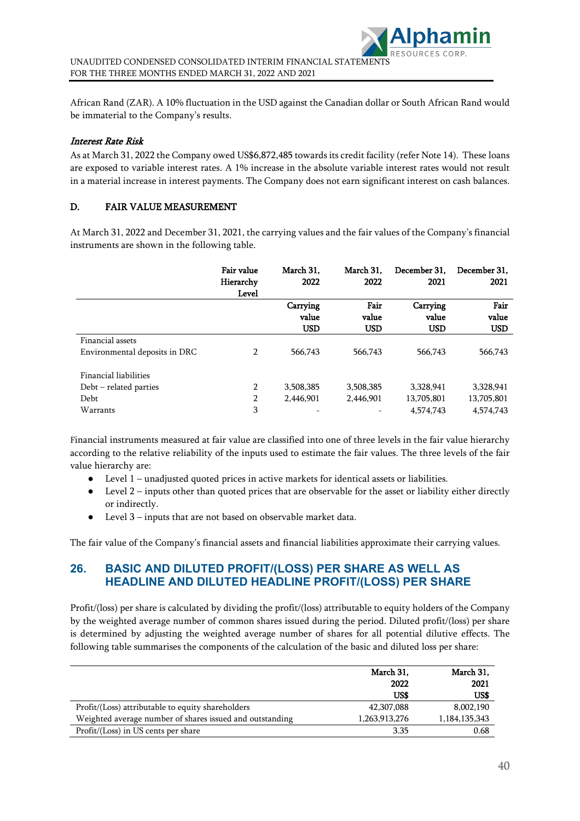African Rand (ZAR). A 10% fluctuation in the USD against the Canadian dollar or South African Rand would be immaterial to the Company's results.

### Interest Rate Risk

As at March 31, 2022 the Company owed US\$6,872,485 towards its credit facility (refer Note 14). These loans are exposed to variable interest rates. A 1% increase in the absolute variable interest rates would not result in a material increase in interest payments. The Company does not earn significant interest on cash balances.

### D. FAIR VALUE MEASUREMENT

At March 31, 2022 and December 31, 2021, the carrying values and the fair values of the Company's financial instruments are shown in the following table.

|                                                                       | <b>Fair value</b><br>Hierarchy<br>Level | March 31,<br>2022               | March 31,<br>2022           | December 31.<br>2021                 | December 31.<br>2021                 |
|-----------------------------------------------------------------------|-----------------------------------------|---------------------------------|-----------------------------|--------------------------------------|--------------------------------------|
|                                                                       |                                         | Carrying<br>value<br><b>USD</b> | Fair<br>value<br><b>USD</b> | Carrying<br>value<br><b>USD</b>      | Fair<br>value<br><b>USD</b>          |
| Financial assets<br>Environmental deposits in DRC                     | 2                                       | 566,743                         | 566,743                     | 566,743                              | 566,743                              |
| Financial liabilities<br>$Debt$ – related parties<br>Debt<br>Warrants | $\overline{2}$<br>2<br>3                | 3,508,385<br>2,446,901<br>-     | 3,508,385<br>2,446,901      | 3,328,941<br>13,705,801<br>4,574,743 | 3,328,941<br>13,705,801<br>4,574,743 |

Financial instruments measured at fair value are classified into one of three levels in the fair value hierarchy according to the relative reliability of the inputs used to estimate the fair values. The three levels of the fair value hierarchy are:

- Level 1 unadjusted quoted prices in active markets for identical assets or liabilities.
- Level 2 inputs other than quoted prices that are observable for the asset or liability either directly or indirectly.
- Level 3 inputs that are not based on observable market data.

The fair value of the Company's financial assets and financial liabilities approximate their carrying values.

## **26. BASIC AND DILUTED PROFIT/(LOSS) PER SHARE AS WELL AS HEADLINE AND DILUTED HEADLINE PROFIT/(LOSS) PER SHARE**

Profit/(loss) per share is calculated by dividing the profit/(loss) attributable to equity holders of the Company by the weighted average number of common shares issued during the period. Diluted profit/(loss) per share is determined by adjusting the weighted average number of shares for all potential dilutive effects. The following table summarises the components of the calculation of the basic and diluted loss per share:

|                                                          | March 31,<br>2022 | March 31,<br>2021 |
|----------------------------------------------------------|-------------------|-------------------|
|                                                          | US\$              | US\$              |
| Profit/(Loss) attributable to equity shareholders        | 42,307,088        | 8,002,190         |
| Weighted average number of shares issued and outstanding | 1,263,913,276     | 1,184,135,343     |
| Profit/(Loss) in US cents per share                      | 3.35              | 0.68              |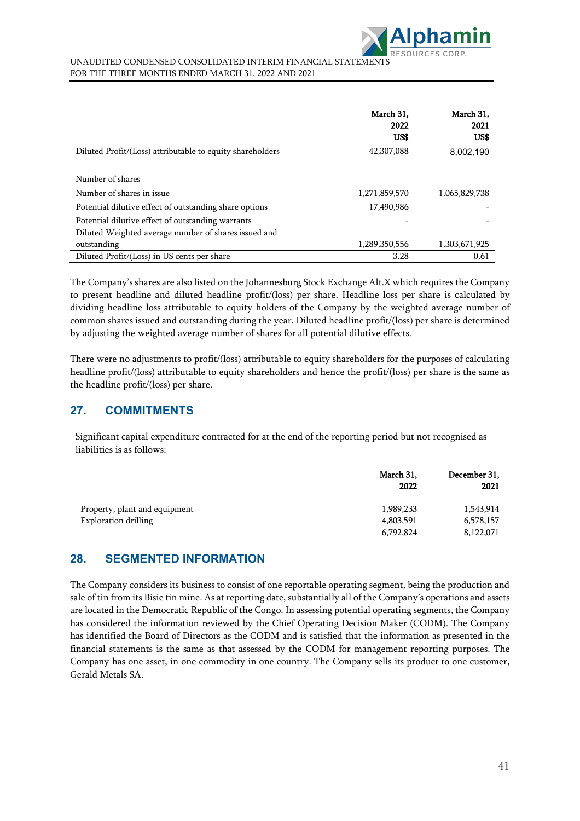

|                                                           | March 31.<br>2022<br>US\$ | March 31.<br>2021<br>US\$ |
|-----------------------------------------------------------|---------------------------|---------------------------|
| Diluted Profit/(Loss) attributable to equity shareholders | 42,307,088                | 8,002,190                 |
| Number of shares                                          |                           |                           |
| Number of shares in issue                                 | 1,271,859,570             | 1,065,829,738             |
| Potential dilutive effect of outstanding share options    | 17,490,986                |                           |
| Potential dilutive effect of outstanding warrants         |                           |                           |
| Diluted Weighted average number of shares issued and      |                           |                           |
| outstanding                                               | 1,289,350,556             | 1,303,671,925             |
| Diluted Profit/(Loss) in US cents per share               | 3.28                      | 0.61                      |

The Company's shares are also listed on the Johannesburg Stock Exchange Alt.X which requires the Company to present headline and diluted headline profit/(loss) per share. Headline loss per share is calculated by dividing headline loss attributable to equity holders of the Company by the weighted average number of common shares issued and outstanding during the year. Diluted headline profit/(loss) per share is determined by adjusting the weighted average number of shares for all potential dilutive effects.

There were no adjustments to profit/(loss) attributable to equity shareholders for the purposes of calculating headline profit/(loss) attributable to equity shareholders and hence the profit/(loss) per share is the same as the headline profit/(loss) per share.

## **27. COMMITMENTS**

Significant capital expenditure contracted for at the end of the reporting period but not recognised as liabilities is as follows:

|                               | March 31,<br>2022 | December 31,<br>2021 |
|-------------------------------|-------------------|----------------------|
| Property, plant and equipment | 1,989,233         | 1,543,914            |
| <b>Exploration drilling</b>   | 4,803,591         | 6,578,157            |
|                               | 6,792,824         | 8,122,071            |

## **28. SEGMENTED INFORMATION**

The Company considers its business to consist of one reportable operating segment, being the production and sale of tin from its Bisie tin mine. As at reporting date, substantially all of the Company's operations and assets are located in the Democratic Republic of the Congo. In assessing potential operating segments, the Company has considered the information reviewed by the Chief Operating Decision Maker (CODM). The Company has identified the Board of Directors as the CODM and is satisfied that the information as presented in the financial statements is the same as that assessed by the CODM for management reporting purposes. The Company has one asset, in one commodity in one country. The Company sells its product to one customer, Gerald Metals SA.